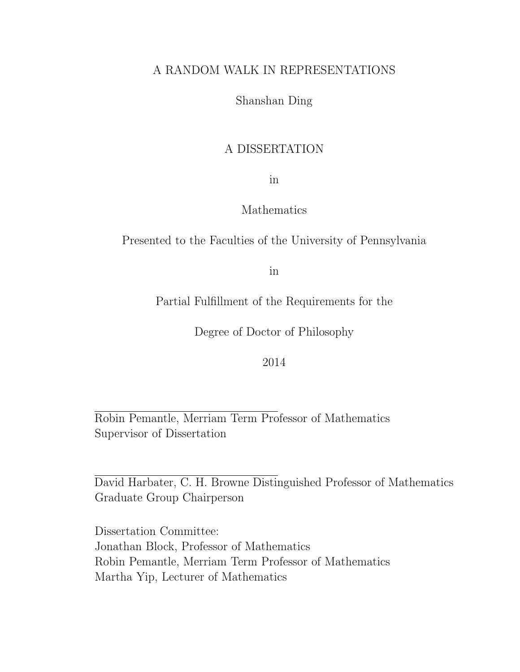## A RANDOM WALK IN REPRESENTATIONS

## Shanshan Ding

## A DISSERTATION

in

## Mathematics

## Presented to the Faculties of the University of Pennsylvania

in

Partial Fulfillment of the Requirements for the

Degree of Doctor of Philosophy

2014

Robin Pemantle, Merriam Term Professor of Mathematics Supervisor of Dissertation

David Harbater, C. H. Browne Distinguished Professor of Mathematics Graduate Group Chairperson

Dissertation Committee: Jonathan Block, Professor of Mathematics Robin Pemantle, Merriam Term Professor of Mathematics Martha Yip, Lecturer of Mathematics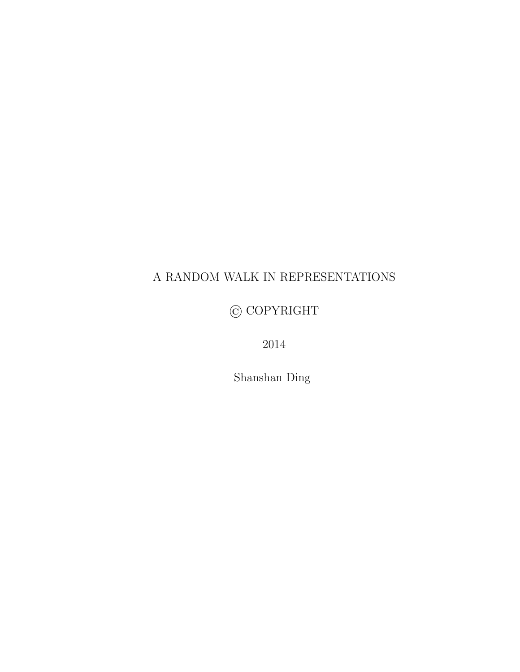# A RANDOM WALK IN REPRESENTATIONS

© COPYRIGHT

2014

Shanshan Ding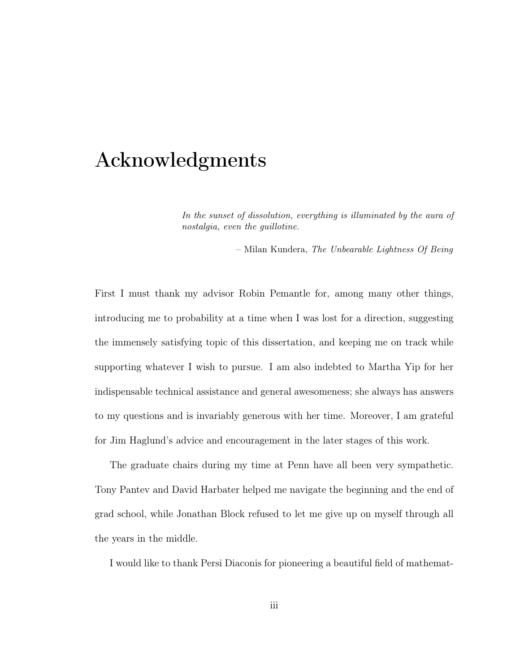# Acknowledgments

In the sunset of dissolution, everything is illuminated by the aura of nostalgia, even the guillotine.

– Milan Kundera, The Unbearable Lightness Of Being

First I must thank my advisor Robin Pemantle for, among many other things, introducing me to probability at a time when I was lost for a direction, suggesting the immensely satisfying topic of this dissertation, and keeping me on track while supporting whatever I wish to pursue. I am also indebted to Martha Yip for her indispensable technical assistance and general awesomeness; she always has answers to my questions and is invariably generous with her time. Moreover, I am grateful for Jim Haglund's advice and encouragement in the later stages of this work.

The graduate chairs during my time at Penn have all been very sympathetic. Tony Pantev and David Harbater helped me navigate the beginning and the end of grad school, while Jonathan Block refused to let me give up on myself through all the years in the middle.

I would like to thank Persi Diaconis for pioneering a beautiful field of mathemat-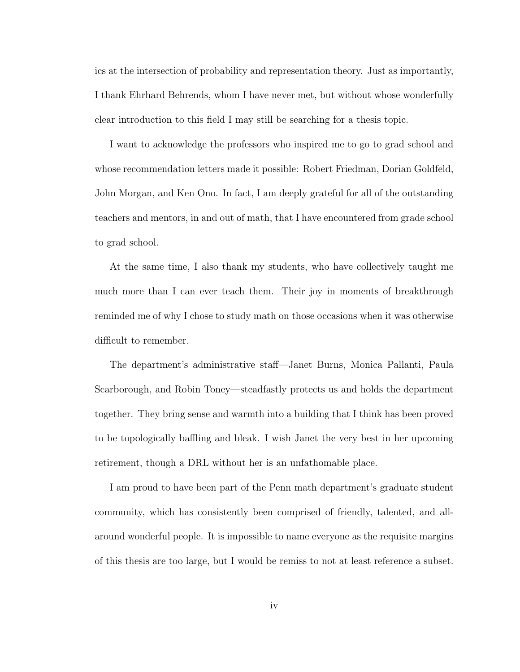ics at the intersection of probability and representation theory. Just as importantly, I thank Ehrhard Behrends, whom I have never met, but without whose wonderfully clear introduction to this field I may still be searching for a thesis topic.

I want to acknowledge the professors who inspired me to go to grad school and whose recommendation letters made it possible: Robert Friedman, Dorian Goldfeld, John Morgan, and Ken Ono. In fact, I am deeply grateful for all of the outstanding teachers and mentors, in and out of math, that I have encountered from grade school to grad school.

At the same time, I also thank my students, who have collectively taught me much more than I can ever teach them. Their joy in moments of breakthrough reminded me of why I chose to study math on those occasions when it was otherwise difficult to remember.

The department's administrative staff—Janet Burns, Monica Pallanti, Paula Scarborough, and Robin Toney—steadfastly protects us and holds the department together. They bring sense and warmth into a building that I think has been proved to be topologically baffling and bleak. I wish Janet the very best in her upcoming retirement, though a DRL without her is an unfathomable place.

I am proud to have been part of the Penn math department's graduate student community, which has consistently been comprised of friendly, talented, and allaround wonderful people. It is impossible to name everyone as the requisite margins of this thesis are too large, but I would be remiss to not at least reference a subset.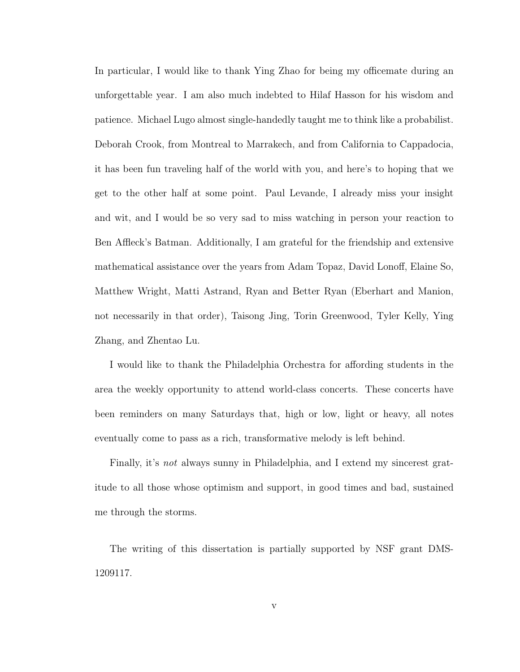In particular, I would like to thank Ying Zhao for being my officemate during an unforgettable year. I am also much indebted to Hilaf Hasson for his wisdom and patience. Michael Lugo almost single-handedly taught me to think like a probabilist. Deborah Crook, from Montreal to Marrakech, and from California to Cappadocia, it has been fun traveling half of the world with you, and here's to hoping that we get to the other half at some point. Paul Levande, I already miss your insight and wit, and I would be so very sad to miss watching in person your reaction to Ben Affleck's Batman. Additionally, I am grateful for the friendship and extensive mathematical assistance over the years from Adam Topaz, David Lonoff, Elaine So, Matthew Wright, Matti Astrand, Ryan and Better Ryan (Eberhart and Manion, not necessarily in that order), Taisong Jing, Torin Greenwood, Tyler Kelly, Ying Zhang, and Zhentao Lu.

I would like to thank the Philadelphia Orchestra for affording students in the area the weekly opportunity to attend world-class concerts. These concerts have been reminders on many Saturdays that, high or low, light or heavy, all notes eventually come to pass as a rich, transformative melody is left behind.

Finally, it's not always sunny in Philadelphia, and I extend my sincerest gratitude to all those whose optimism and support, in good times and bad, sustained me through the storms.

The writing of this dissertation is partially supported by NSF grant DMS-1209117.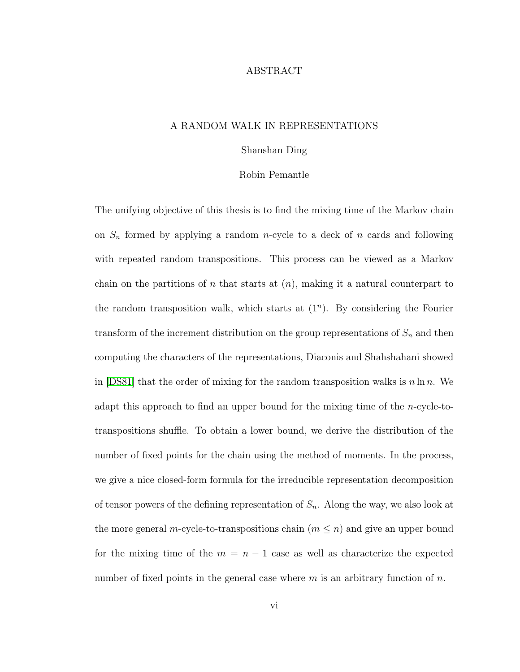### ABSTRACT

### A RANDOM WALK IN REPRESENTATIONS

#### Shanshan Ding

#### Robin Pemantle

The unifying objective of this thesis is to find the mixing time of the Markov chain on  $S_n$  formed by applying a random *n*-cycle to a deck of *n* cards and following with repeated random transpositions. This process can be viewed as a Markov chain on the partitions of n that starts at  $(n)$ , making it a natural counterpart to the random transposition walk, which starts at  $(1^n)$ . By considering the Fourier transform of the increment distribution on the group representations of  $S_n$  and then computing the characters of the representations, Diaconis and Shahshahani showed in [\[DS81\]](#page-66-0) that the order of mixing for the random transposition walks is  $n \ln n$ . We adapt this approach to find an upper bound for the mixing time of the *n*-cycle-totranspositions shuffle. To obtain a lower bound, we derive the distribution of the number of fixed points for the chain using the method of moments. In the process, we give a nice closed-form formula for the irreducible representation decomposition of tensor powers of the defining representation of  $S_n$ . Along the way, we also look at the more general m-cycle-to-transpositions chain  $(m \leq n)$  and give an upper bound for the mixing time of the  $m = n - 1$  case as well as characterize the expected number of fixed points in the general case where  $m$  is an arbitrary function of  $n$ .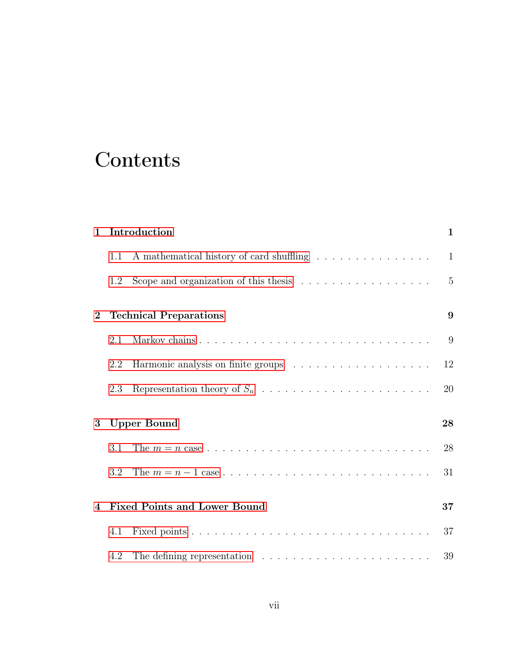# **Contents**

| $\mathbf{1}$            |     | Introduction                                                                   | $\mathbf{1}$   |
|-------------------------|-----|--------------------------------------------------------------------------------|----------------|
|                         | 1.1 | A mathematical history of card shuffling                                       | $\mathbf{1}$   |
|                         | 1.2 | Scope and organization of this thesis $\ldots \ldots \ldots \ldots \ldots$     | $\overline{5}$ |
| $\bf{2}$                |     | <b>Technical Preparations</b>                                                  | 9              |
|                         | 2.1 |                                                                                | 9              |
|                         | 2.2 |                                                                                | 12             |
|                         | 2.3 |                                                                                | 20             |
| 3                       |     | <b>Upper Bound</b>                                                             | 28             |
|                         | 3.1 |                                                                                | 28             |
|                         | 3.2 |                                                                                | 31             |
| $\overline{\mathbf{4}}$ |     | <b>Fixed Points and Lower Bound</b>                                            | 37             |
|                         | 4.1 |                                                                                | 37             |
|                         | 4.2 | The defining representation $\ldots \ldots \ldots \ldots \ldots \ldots \ldots$ | 39             |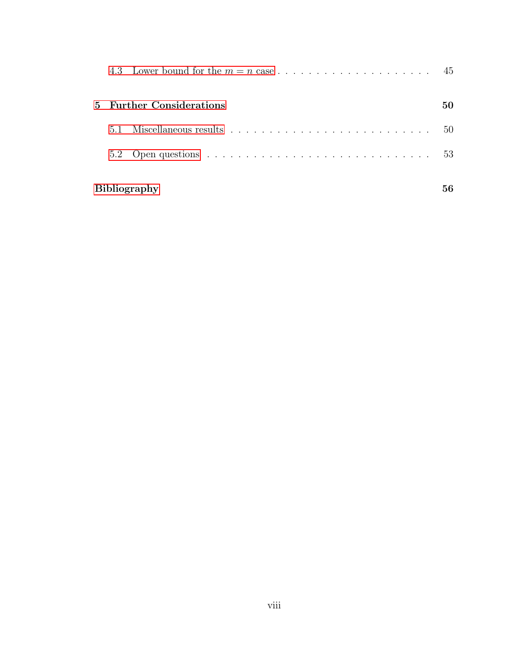|  |                          |                     | -45          |
|--|--------------------------|---------------------|--------------|
|  | 5 Further Considerations | 50                  |              |
|  | 5.1                      |                     | $50^{\circ}$ |
|  |                          |                     | 53           |
|  |                          | <b>Bibliography</b> |              |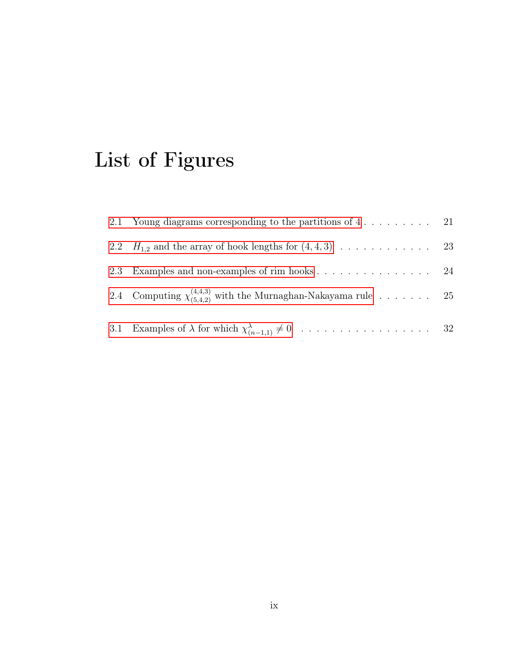# List of Figures

| 2.1 Young diagrams corresponding to the partitions of $4 \ldots \ldots \ldots$ 21 |  |
|-----------------------------------------------------------------------------------|--|
| 2.2 $H_{1,2}$ and the array of hook lengths for $(4,4,3)$ 23                      |  |
|                                                                                   |  |
| 2.4 Computing $\chi_{(5,4,2)}^{(4,4,3)}$ with the Murnaghan-Nakayama rule 25      |  |
|                                                                                   |  |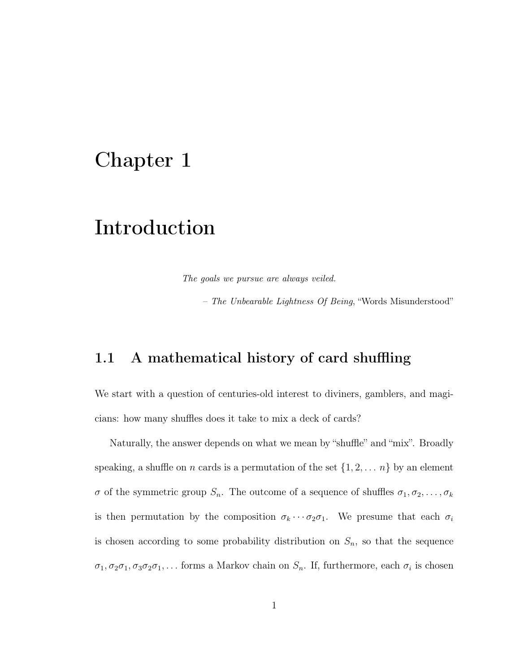# <span id="page-9-0"></span>Chapter 1

# Introduction

The goals we pursue are always veiled.

– The Unbearable Lightness Of Being, "Words Misunderstood"

## <span id="page-9-1"></span>1.1 A mathematical history of card shuffling

We start with a question of centuries-old interest to diviners, gamblers, and magicians: how many shuffles does it take to mix a deck of cards?

Naturally, the answer depends on what we mean by "shuffle" and "mix". Broadly speaking, a shuffle on *n* cards is a permutation of the set  $\{1, 2, \ldots n\}$  by an element  $\sigma$  of the symmetric group  $S_n$ . The outcome of a sequence of shuffles  $\sigma_1, \sigma_2, \ldots, \sigma_k$ is then permutation by the composition  $\sigma_k \cdots \sigma_2 \sigma_1$ . We presume that each  $\sigma_i$ is chosen according to some probability distribution on  $S_n$ , so that the sequence  $\sigma_1, \sigma_2\sigma_1, \sigma_3\sigma_2\sigma_1, \ldots$  forms a Markov chain on  $S_n$ . If, furthermore, each  $\sigma_i$  is chosen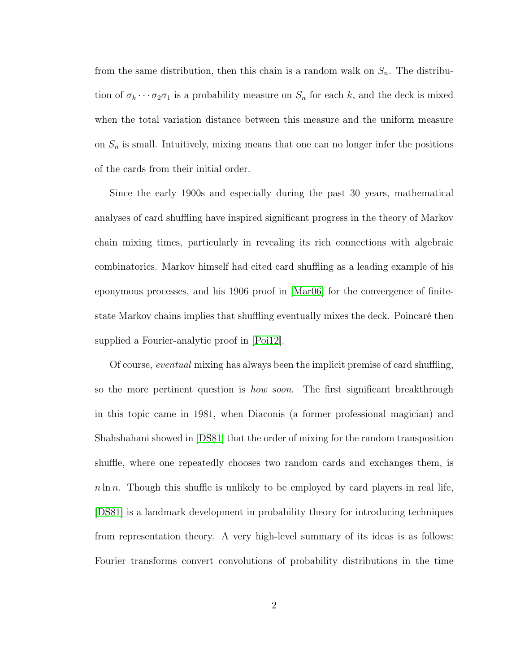from the same distribution, then this chain is a random walk on  $S_n$ . The distribution of  $\sigma_k \cdots \sigma_2 \sigma_1$  is a probability measure on  $S_n$  for each k, and the deck is mixed when the total variation distance between this measure and the uniform measure on  $S_n$  is small. Intuitively, mixing means that one can no longer infer the positions of the cards from their initial order.

Since the early 1900s and especially during the past 30 years, mathematical analyses of card shuffling have inspired significant progress in the theory of Markov chain mixing times, particularly in revealing its rich connections with algebraic combinatorics. Markov himself had cited card shuffling as a leading example of his eponymous processes, and his 1906 proof in [\[Mar06\]](#page-68-0) for the convergence of finitestate Markov chains implies that shuffling eventually mixes the deck. Poincaré then supplied a Fourier-analytic proof in [\[Poi12\]](#page-69-0).

Of course, eventual mixing has always been the implicit premise of card shuffling, so the more pertinent question is *how soon*. The first significant breakthrough in this topic came in 1981, when Diaconis (a former professional magician) and Shahshahani showed in [\[DS81\]](#page-66-0) that the order of mixing for the random transposition shuffle, where one repeatedly chooses two random cards and exchanges them, is  $n \ln n$ . Though this shuffle is unlikely to be employed by card players in real life, [\[DS81\]](#page-66-0) is a landmark development in probability theory for introducing techniques from representation theory. A very high-level summary of its ideas is as follows: Fourier transforms convert convolutions of probability distributions in the time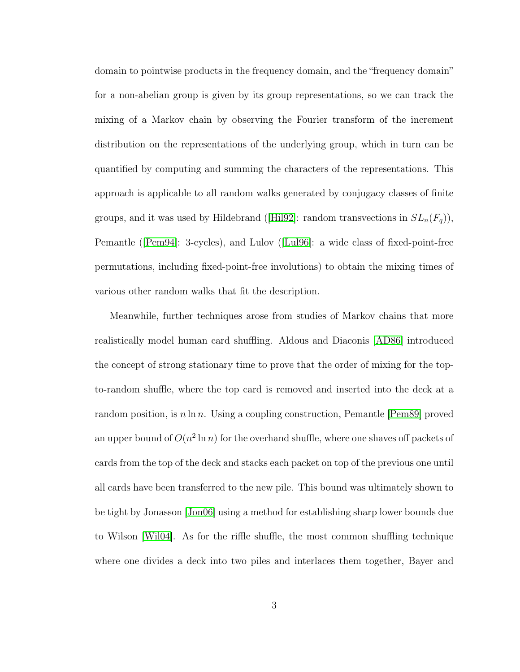domain to pointwise products in the frequency domain, and the "frequency domain" for a non-abelian group is given by its group representations, so we can track the mixing of a Markov chain by observing the Fourier transform of the increment distribution on the representations of the underlying group, which in turn can be quantified by computing and summing the characters of the representations. This approach is applicable to all random walks generated by conjugacy classes of finite groups, and it was used by Hildebrand ([\[Hil92\]](#page-67-0): random transvections in  $SL_n(F_q)$ ), Pemantle ([\[Pem94\]](#page-69-1): 3-cycles), and Lulov ([\[Lul96\]](#page-68-1): a wide class of fixed-point-free permutations, including fixed-point-free involutions) to obtain the mixing times of various other random walks that fit the description.

Meanwhile, further techniques arose from studies of Markov chains that more realistically model human card shuffling. Aldous and Diaconis [\[AD86\]](#page-64-1) introduced the concept of strong stationary time to prove that the order of mixing for the topto-random shuffle, where the top card is removed and inserted into the deck at a random position, is  $n \ln n$ . Using a coupling construction, Pemantle [\[Pem89\]](#page-69-2) proved an upper bound of  $O(n^2 \ln n)$  for the overhand shuffle, where one shaves off packets of cards from the top of the deck and stacks each packet on top of the previous one until all cards have been transferred to the new pile. This bound was ultimately shown to be tight by Jonasson [\[Jon06\]](#page-68-2) using a method for establishing sharp lower bounds due to Wilson [\[Wil04\]](#page-71-0). As for the riffle shuffle, the most common shuffling technique where one divides a deck into two piles and interlaces them together, Bayer and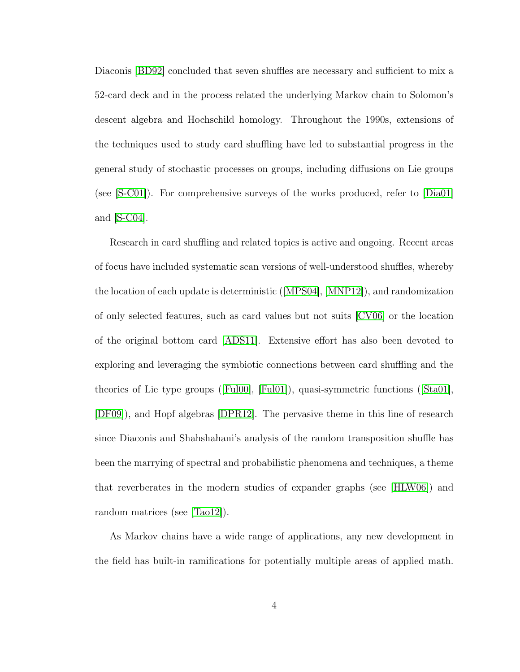Diaconis [\[BD92\]](#page-64-2) concluded that seven shuffles are necessary and sufficient to mix a 52-card deck and in the process related the underlying Markov chain to Solomon's descent algebra and Hochschild homology. Throughout the 1990s, extensions of the techniques used to study card shuffling have led to substantial progress in the general study of stochastic processes on groups, including diffusions on Lie groups (see [\[S-C01\]](#page-70-0)). For comprehensive surveys of the works produced, refer to [\[Dia01\]](#page-65-0) and [\[S-C04\]](#page-70-1).

Research in card shuffling and related topics is active and ongoing. Recent areas of focus have included systematic scan versions of well-understood shuffles, whereby the location of each update is deterministic ([\[MPS04\]](#page-69-3), [\[MNP12\]](#page-69-4)), and randomization of only selected features, such as card values but not suits [\[CV06\]](#page-65-1) or the location of the original bottom card [\[ADS11\]](#page-64-3). Extensive effort has also been devoted to exploring and leveraging the symbiotic connections between card shuffling and the theories of Lie type groups ([\[Ful00\]](#page-66-1), [\[Ful01\]](#page-66-2)), quasi-symmetric functions ([\[Sta01\]](#page-70-2), [\[DF09\]](#page-66-3)), and Hopf algebras [\[DPR12\]](#page-66-4). The pervasive theme in this line of research since Diaconis and Shahshahani's analysis of the random transposition shuffle has been the marrying of spectral and probabilistic phenomena and techniques, a theme that reverberates in the modern studies of expander graphs (see [\[HLW06\]](#page-67-1)) and random matrices (see [\[Tao12\]](#page-70-3)).

As Markov chains have a wide range of applications, any new development in the field has built-in ramifications for potentially multiple areas of applied math.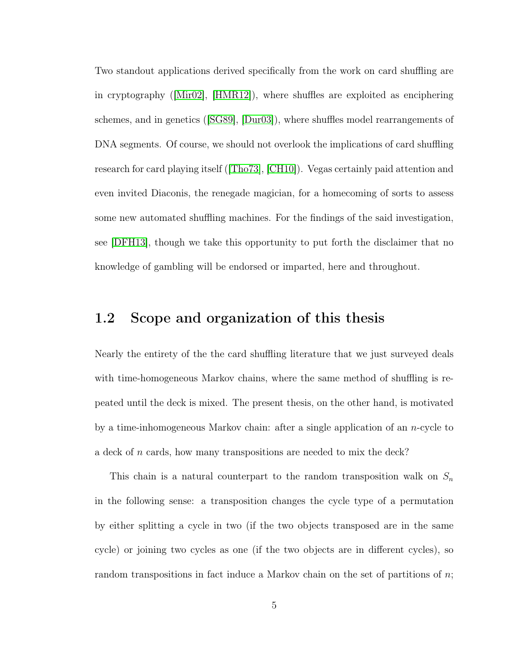Two standout applications derived specifically from the work on card shuffling are in cryptography ([\[Mir02\]](#page-68-3), [\[HMR12\]](#page-67-2)), where shuffles are exploited as enciphering schemes, and in genetics ([\[SG89\]](#page-70-4), [\[Dur03\]](#page-66-5)), where shuffles model rearrangements of DNA segments. Of course, we should not overlook the implications of card shuffling research for card playing itself ([\[Tho73\]](#page-71-1), [\[CH10\]](#page-65-2)). Vegas certainly paid attention and even invited Diaconis, the renegade magician, for a homecoming of sorts to assess some new automated shuffling machines. For the findings of the said investigation, see [\[DFH13\]](#page-66-6), though we take this opportunity to put forth the disclaimer that no knowledge of gambling will be endorsed or imparted, here and throughout.

# <span id="page-13-0"></span>1.2 Scope and organization of this thesis

Nearly the entirety of the the card shuffling literature that we just surveyed deals with time-homogeneous Markov chains, where the same method of shuffling is repeated until the deck is mixed. The present thesis, on the other hand, is motivated by a time-inhomogeneous Markov chain: after a single application of an n-cycle to a deck of n cards, how many transpositions are needed to mix the deck?

This chain is a natural counterpart to the random transposition walk on  $S_n$ in the following sense: a transposition changes the cycle type of a permutation by either splitting a cycle in two (if the two objects transposed are in the same cycle) or joining two cycles as one (if the two objects are in different cycles), so random transpositions in fact induce a Markov chain on the set of partitions of  $n$ ;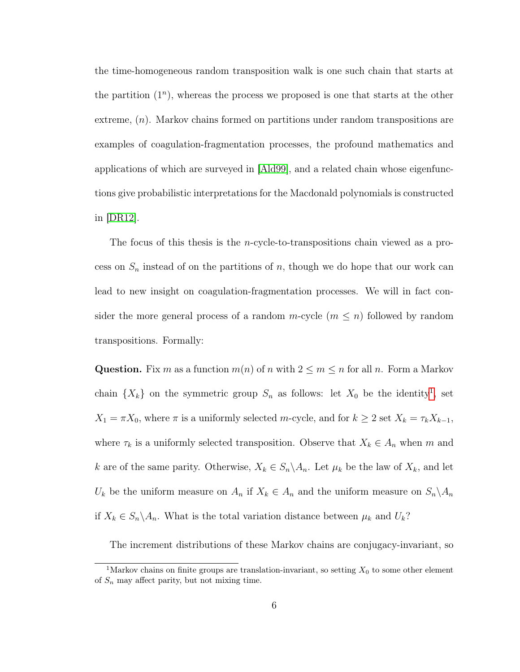the time-homogeneous random transposition walk is one such chain that starts at the partition  $(1^n)$ , whereas the process we proposed is one that starts at the other extreme,  $(n)$ . Markov chains formed on partitions under random transpositions are examples of coagulation-fragmentation processes, the profound mathematics and applications of which are surveyed in [\[Ald99\]](#page-64-4), and a related chain whose eigenfunctions give probabilistic interpretations for the Macdonald polynomials is constructed in [\[DR12\]](#page-66-7).

The focus of this thesis is the n-cycle-to-transpositions chain viewed as a process on  $S_n$  instead of on the partitions of n, though we do hope that our work can lead to new insight on coagulation-fragmentation processes. We will in fact consider the more general process of a random  $m$ -cycle  $(m \leq n)$  followed by random transpositions. Formally:

**Question.** Fix m as a function  $m(n)$  of n with  $2 \le m \le n$  for all n. Form a Markov chain  $\{X_k\}$  on the symmetric group  $S_n$  as follows: let  $X_0$  be the identity<sup>[1](#page-14-0)</sup>, set  $X_1 = \pi X_0$ , where  $\pi$  is a uniformly selected m-cycle, and for  $k \geq 2$  set  $X_k = \tau_k X_{k-1}$ , where  $\tau_k$  is a uniformly selected transposition. Observe that  $X_k \in A_n$  when m and k are of the same parity. Otherwise,  $X_k \in S_n \backslash A_n$ . Let  $\mu_k$  be the law of  $X_k$ , and let  $U_k$  be the uniform measure on  $A_n$  if  $X_k \in A_n$  and the uniform measure on  $S_n \backslash A_n$ if  $X_k \in S_n \backslash A_n$ . What is the total variation distance between  $\mu_k$  and  $U_k$ ?

The increment distributions of these Markov chains are conjugacy-invariant, so

<span id="page-14-0"></span><sup>&</sup>lt;sup>1</sup>Markov chains on finite groups are translation-invariant, so setting  $X_0$  to some other element of  $S_n$  may affect parity, but not mixing time.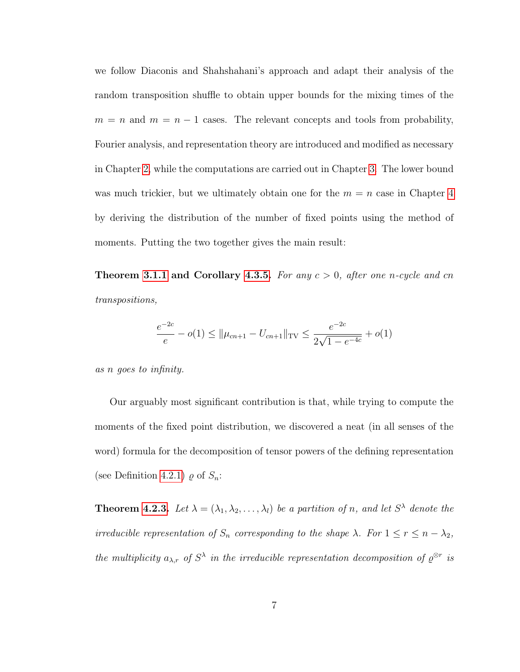we follow Diaconis and Shahshahani's approach and adapt their analysis of the random transposition shuffle to obtain upper bounds for the mixing times of the  $m = n$  and  $m = n - 1$  cases. The relevant concepts and tools from probability, Fourier analysis, and representation theory are introduced and modified as necessary in Chapter [2,](#page-17-0) while the computations are carried out in Chapter [3.](#page-36-0) The lower bound was much trickier, but we ultimately obtain one for the  $m = n$  case in Chapter [4](#page-45-0) by deriving the distribution of the number of fixed points using the method of moments. Putting the two together gives the main result:

**Theorem [3.1.1](#page-36-2) and Corollary [4.3.5.](#page-56-0)** For any  $c > 0$ , after one n-cycle and cn transpositions,

$$
\frac{e^{-2c}}{e} - o(1) \le ||\mu_{cn+1} - U_{cn+1}||_{\text{TV}} \le \frac{e^{-2c}}{2\sqrt{1 - e^{-4c}}} + o(1)
$$

as n goes to infinity.

Our arguably most significant contribution is that, while trying to compute the moments of the fixed point distribution, we discovered a neat (in all senses of the word) formula for the decomposition of tensor powers of the defining representation (see Definition [4.2.1\)](#page-47-1)  $\varrho$  of  $S_n$ :

**Theorem [4.2.3.](#page-49-0)** Let  $\lambda = (\lambda_1, \lambda_2, \dots, \lambda_l)$  be a partition of n, and let  $S^{\lambda}$  denote the irreducible representation of  $S_n$  corresponding to the shape  $\lambda$ . For  $1 \le r \le n - \lambda_2$ , the multiplicity  $a_{\lambda,r}$  of  $S^{\lambda}$  in the irreducible representation decomposition of  $\varrho^{\otimes r}$  is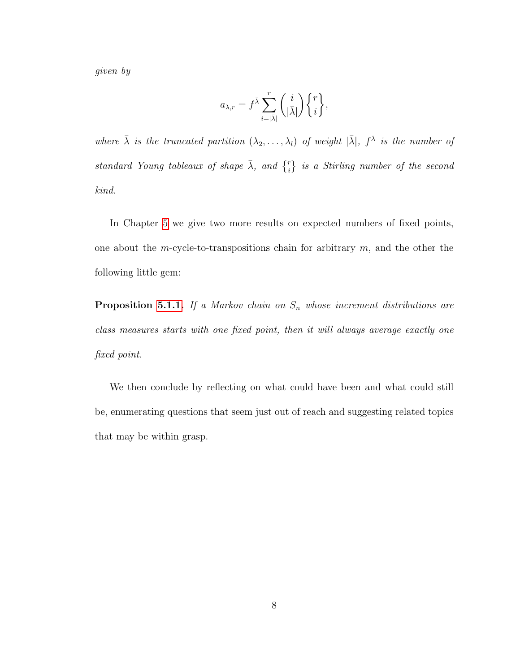given by

$$
a_{\lambda,r} = f^{\bar{\lambda}} \sum_{i=|\bar{\lambda}|}^{r} \binom{i}{|\bar{\lambda}|} \begin{Bmatrix} r \\ i \end{Bmatrix},
$$

where  $\bar{\lambda}$  is the truncated partition  $(\lambda_2, \ldots, \lambda_l)$  of weight  $|\bar{\lambda}|$ ,  $f^{\bar{\lambda}}$  is the number of standard Young tableaux of shape  $\bar{\lambda}$ , and  $\{^{r}_{i}\}$  is a Stirling number of the second kind.

In Chapter [5](#page-58-0) we give two more results on expected numbers of fixed points, one about the m-cycle-to-transpositions chain for arbitrary  $m$ , and the other the following little gem:

**Proposition [5.1.1.](#page-58-2)** If a Markov chain on  $S_n$  whose increment distributions are class measures starts with one fixed point, then it will always average exactly one fixed point.

We then conclude by reflecting on what could have been and what could still be, enumerating questions that seem just out of reach and suggesting related topics that may be within grasp.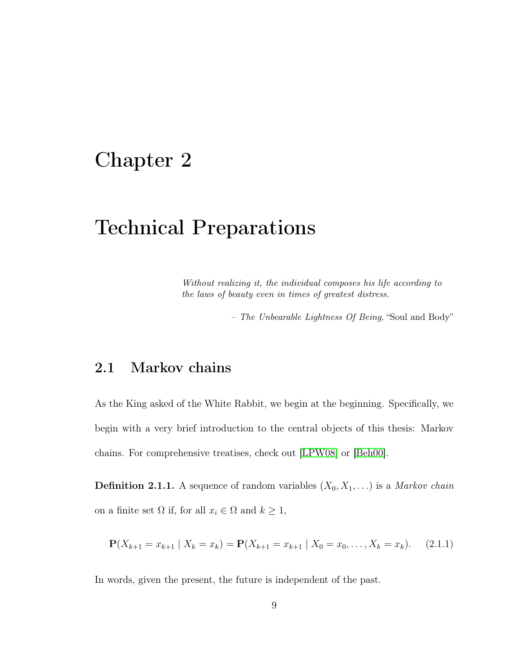# <span id="page-17-0"></span>Chapter 2

# Technical Preparations

Without realizing it, the individual composes his life according to the laws of beauty even in times of greatest distress.

– The Unbearable Lightness Of Being, "Soul and Body"

# <span id="page-17-1"></span>2.1 Markov chains

As the King asked of the White Rabbit, we begin at the beginning. Specifically, we begin with a very brief introduction to the central objects of this thesis: Markov chains. For comprehensive treatises, check out [\[LPW08\]](#page-68-4) or [\[Beh00\]](#page-65-3).

**Definition 2.1.1.** A sequence of random variables  $(X_0, X_1, \ldots)$  is a *Markov chain* on a finite set  $\Omega$  if, for all  $x_i \in \Omega$  and  $k \geq 1$ ,

$$
\mathbf{P}(X_{k+1}=x_{k+1} | X_k=x_k) = \mathbf{P}(X_{k+1}=x_{k+1} | X_0=x_0,\ldots,X_k=x_k). \tag{2.1.1}
$$

In words, given the present, the future is independent of the past.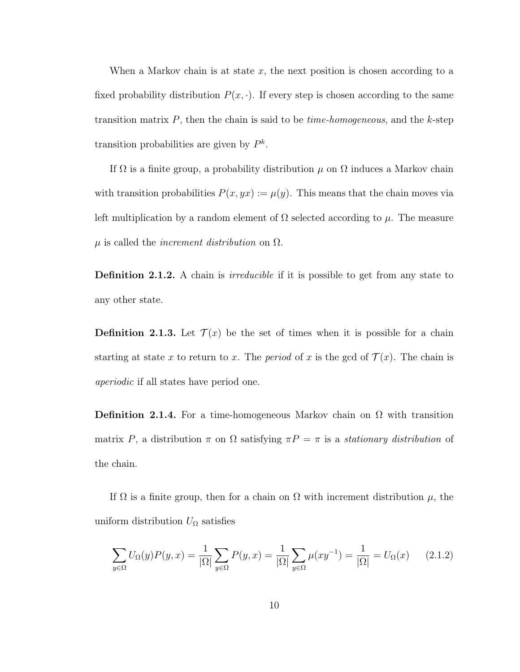When a Markov chain is at state  $x$ , the next position is chosen according to a fixed probability distribution  $P(x, \cdot)$ . If every step is chosen according to the same transition matrix  $P$ , then the chain is said to be *time-homogeneous*, and the  $k$ -step transition probabilities are given by  $P^k$ .

If  $\Omega$  is a finite group, a probability distribution  $\mu$  on  $\Omega$  induces a Markov chain with transition probabilities  $P(x, yx) := \mu(y)$ . This means that the chain moves via left multiplication by a random element of  $\Omega$  selected according to  $\mu$ . The measure  $\mu$  is called the *increment distribution* on  $\Omega$ .

**Definition 2.1.2.** A chain is *irreducible* if it is possible to get from any state to any other state.

**Definition 2.1.3.** Let  $\mathcal{T}(x)$  be the set of times when it is possible for a chain starting at state x to return to x. The period of x is the gcd of  $\mathcal{T}(x)$ . The chain is aperiodic if all states have period one.

**Definition 2.1.4.** For a time-homogeneous Markov chain on  $\Omega$  with transition matrix P, a distribution  $\pi$  on  $\Omega$  satisfying  $\pi P = \pi$  is a stationary distribution of the chain.

If  $\Omega$  is a finite group, then for a chain on  $\Omega$  with increment distribution  $\mu$ , the uniform distribution  $U_{\Omega}$  satisfies

$$
\sum_{y \in \Omega} U_{\Omega}(y)P(y,x) = \frac{1}{|\Omega|} \sum_{y \in \Omega} P(y,x) = \frac{1}{|\Omega|} \sum_{y \in \Omega} \mu(xy^{-1}) = \frac{1}{|\Omega|} = U_{\Omega}(x) \tag{2.1.2}
$$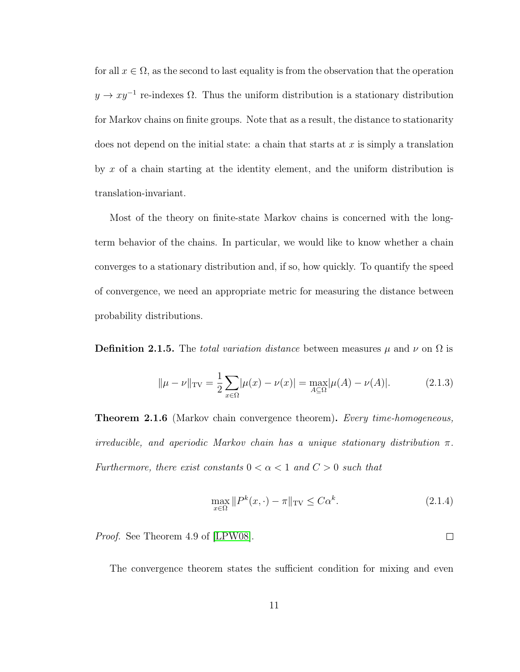for all  $x \in \Omega$ , as the second to last equality is from the observation that the operation  $y \to xy^{-1}$  re-indexes  $\Omega$ . Thus the uniform distribution is a stationary distribution for Markov chains on finite groups. Note that as a result, the distance to stationarity does not depend on the initial state: a chain that starts at  $x$  is simply a translation by  $x$  of a chain starting at the identity element, and the uniform distribution is translation-invariant.

Most of the theory on finite-state Markov chains is concerned with the longterm behavior of the chains. In particular, we would like to know whether a chain converges to a stationary distribution and, if so, how quickly. To quantify the speed of convergence, we need an appropriate metric for measuring the distance between probability distributions.

<span id="page-19-0"></span>**Definition 2.1.5.** The total variation distance between measures  $\mu$  and  $\nu$  on  $\Omega$  is

$$
\|\mu - \nu\|_{\text{TV}} = \frac{1}{2} \sum_{x \in \Omega} |\mu(x) - \nu(x)| = \max_{A \subseteq \Omega} |\mu(A) - \nu(A)|. \tag{2.1.3}
$$

**Theorem 2.1.6** (Markov chain convergence theorem). Every time-homogeneous, irreducible, and aperiodic Markov chain has a unique stationary distribution  $\pi$ . Furthermore, there exist constants  $0 < \alpha < 1$  and  $C > 0$  such that

$$
\max_{x \in \Omega} \|P^k(x, \cdot) - \pi\|_{\text{TV}} \le C\alpha^k. \tag{2.1.4}
$$

Proof. See Theorem 4.9 of [\[LPW08\]](#page-68-4).

The convergence theorem states the sufficient condition for mixing and even

 $\Box$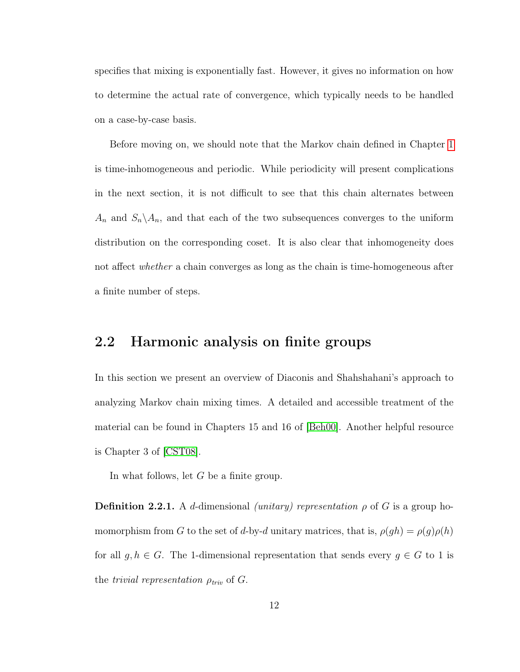specifies that mixing is exponentially fast. However, it gives no information on how to determine the actual rate of convergence, which typically needs to be handled on a case-by-case basis.

Before moving on, we should note that the Markov chain defined in Chapter [1](#page-9-0) is time-inhomogeneous and periodic. While periodicity will present complications in the next section, it is not difficult to see that this chain alternates between  $A_n$  and  $S_n \setminus A_n$ , and that each of the two subsequences converges to the uniform distribution on the corresponding coset. It is also clear that inhomogeneity does not affect *whether* a chain converges as long as the chain is time-homogeneous after a finite number of steps.

## <span id="page-20-0"></span>2.2 Harmonic analysis on finite groups

In this section we present an overview of Diaconis and Shahshahani's approach to analyzing Markov chain mixing times. A detailed and accessible treatment of the material can be found in Chapters 15 and 16 of [\[Beh00\]](#page-65-3). Another helpful resource is Chapter 3 of [\[CST08\]](#page-65-4).

In what follows, let G be a finite group.

<span id="page-20-1"></span>**Definition 2.2.1.** A d-dimensional *(unitary) representation*  $\rho$  of G is a group homomorphism from G to the set of d-by-d unitary matrices, that is,  $\rho(gh) = \rho(g)\rho(h)$ for all  $g, h \in G$ . The 1-dimensional representation that sends every  $g \in G$  to 1 is the *trivial representation*  $\rho_{triv}$  of  $G$ .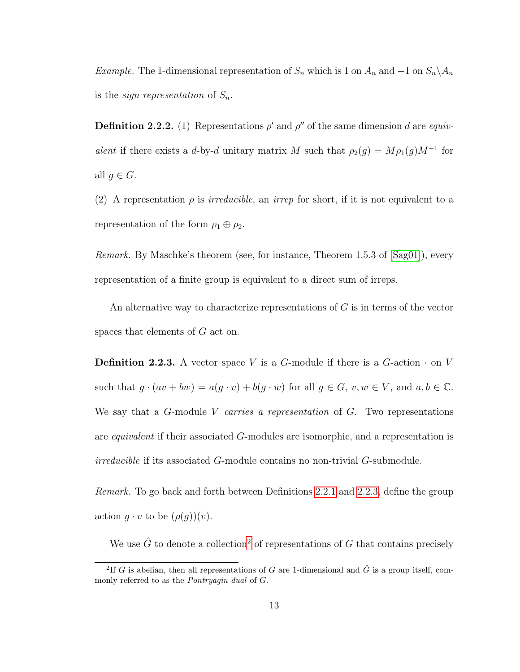Example. The 1-dimensional representation of  $S_n$  which is 1 on  $A_n$  and  $-1$  on  $S_n \backslash A_n$ is the *sign representation* of  $S_n$ .

**Definition 2.2.2.** (1) Representations  $\rho'$  and  $\rho''$  of the same dimension d are equivalent if there exists a d-by-d unitary matrix M such that  $\rho_2(g) = M \rho_1(g) M^{-1}$  for all  $g \in G$ .

(2) A representation  $\rho$  is *irreducible*, an *irrep* for short, if it is not equivalent to a representation of the form  $\rho_1 \oplus \rho_2$ .

Remark. By Maschke's theorem (see, for instance, Theorem 1.5.3 of [\[Sag01\]](#page-70-5)), every representation of a finite group is equivalent to a direct sum of irreps.

An alternative way to characterize representations of  $G$  is in terms of the vector spaces that elements of G act on.

<span id="page-21-0"></span>**Definition 2.2.3.** A vector space V is a G-module if there is a G-action  $\cdot$  on V such that  $g \cdot (av + bw) = a(g \cdot v) + b(g \cdot w)$  for all  $g \in G$ ,  $v, w \in V$ , and  $a, b \in \mathbb{C}$ . We say that a  $G$ -module V carries a representation of  $G$ . Two representations are equivalent if their associated G-modules are isomorphic, and a representation is irreducible if its associated G-module contains no non-trivial G-submodule.

Remark. To go back and forth between Definitions [2.2.1](#page-20-1) and [2.2.3,](#page-21-0) define the group action  $q \cdot v$  to be  $(\rho(q))(v)$ .

We use  $\hat{G}$  to denote a collection<sup>[2](#page-21-1)</sup> of representations of G that contains precisely

<span id="page-21-1"></span><sup>&</sup>lt;sup>2</sup>If G is abelian, then all representations of G are 1-dimensional and  $\hat{G}$  is a group itself, commonly referred to as the Pontryagin dual of G.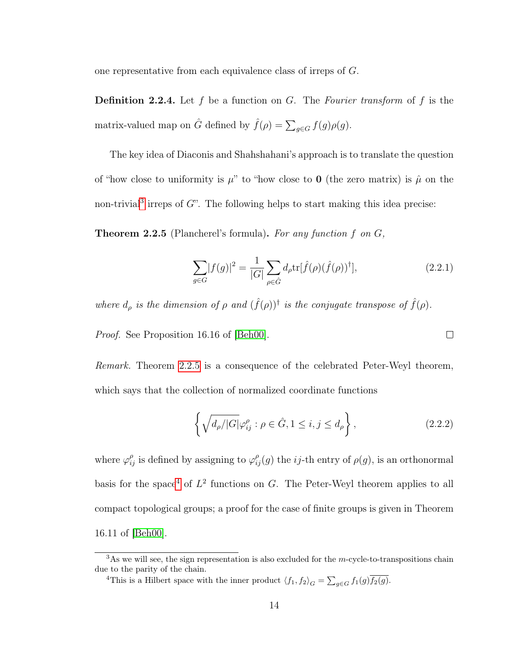one representative from each equivalence class of irreps of G.

**Definition 2.2.4.** Let f be a function on G. The Fourier transform of f is the matrix-valued map on  $\hat{G}$  defined by  $\hat{f}(\rho) = \sum_{g \in G} f(g)\rho(g)$ .

The key idea of Diaconis and Shahshahani's approach is to translate the question of "how close to uniformity is  $\mu$ " to "how close to **0** (the zero matrix) is  $\hat{\mu}$  on the non-trivial<sup>[3](#page-22-0)</sup> irreps of  $G$ ". The following helps to start making this idea precise:

<span id="page-22-1"></span>**Theorem 2.2.5** (Plancherel's formula). For any function f on  $G$ ,

$$
\sum_{g \in G} |f(g)|^2 = \frac{1}{|G|} \sum_{\rho \in \hat{G}} d_{\rho} \text{tr}[\hat{f}(\rho)(\hat{f}(\rho))^\dagger],
$$
\n(2.2.1)

 $\Box$ 

where  $d_{\rho}$  is the dimension of  $\rho$  and  $(\hat{f}(\rho))$ <sup>†</sup> is the conjugate transpose of  $\hat{f}(\rho)$ .

Proof. See Proposition 16.16 of [\[Beh00\]](#page-65-3).

Remark. Theorem [2.2.5](#page-22-1) is a consequence of the celebrated Peter-Weyl theorem, which says that the collection of normalized coordinate functions

$$
\left\{ \sqrt{d_{\rho}/|G|} \varphi_{ij}^{\rho} : \rho \in \hat{G}, 1 \le i, j \le d_{\rho} \right\},\tag{2.2.2}
$$

where  $\varphi_{ij}^{\rho}$  is defined by assigning to  $\varphi_{ij}^{\rho}(g)$  the *ij*-th entry of  $\rho(g)$ , is an orthonormal basis for the space<sup>[4](#page-22-2)</sup> of  $L^2$  functions on G. The Peter-Weyl theorem applies to all compact topological groups; a proof for the case of finite groups is given in Theorem 16.11 of [\[Beh00\]](#page-65-3).

<span id="page-22-2"></span><sup>4</sup>This is a Hilbert space with the inner product  $\langle f_1, f_2 \rangle_G = \sum_{g \in G} f_1(g) \overline{f_2(g)}$ .

<span id="page-22-0"></span> $3\text{As we will see, the sign representation is also excluded for the }m\text{-cycle-to-transpositions chain}$ due to the parity of the chain.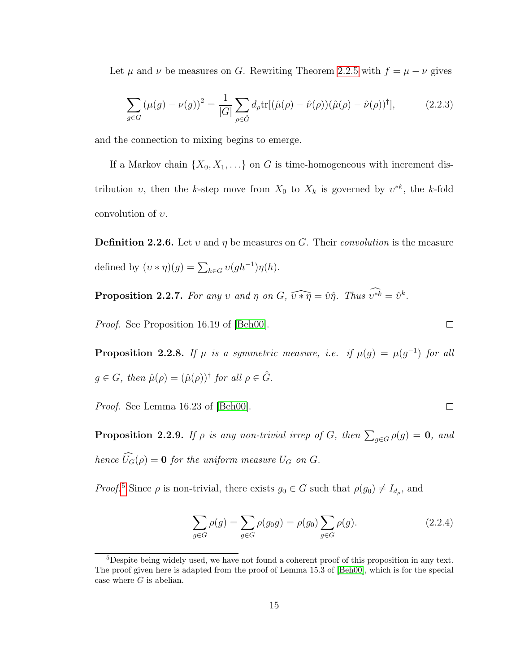Let  $\mu$  and  $\nu$  be measures on G. Rewriting Theorem [2.2.5](#page-22-1) with  $f = \mu - \nu$  gives

<span id="page-23-4"></span>
$$
\sum_{g \in G} (\mu(g) - \nu(g))^2 = \frac{1}{|G|} \sum_{\rho \in \hat{G}} d_{\rho} \text{tr}[(\hat{\mu}(\rho) - \hat{\nu}(\rho))(\hat{\mu}(\rho) - \hat{\nu}(\rho))^\dagger], \tag{2.2.3}
$$

and the connection to mixing begins to emerge.

If a Markov chain  $\{X_0, X_1, \ldots\}$  on G is time-homogeneous with increment distribution v, then the k-step move from  $X_0$  to  $X_k$  is governed by  $v^{*k}$ , the k-fold convolution of  $v$ .

**Definition 2.2.6.** Let v and  $\eta$  be measures on G. Their convolution is the measure defined by  $(v * \eta)(g) = \sum_{h \in G} v(gh^{-1})\eta(h)$ .

<span id="page-23-2"></span>**Proposition 2.2.7.** For any v and  $\eta$  on  $G$ ,  $\widehat{v * \eta} = \hat{v} \hat{\eta}$ . Thus  $\widehat{v^{*k}} = \hat{v}^k$ .

Proof. See Proposition 16.19 of [\[Beh00\]](#page-65-3).

**Proposition 2.2.8.** If  $\mu$  is a symmetric measure, i.e. if  $\mu(g) = \mu(g^{-1})$  for all  $g \in G$ , then  $\hat{\mu}(\rho) = (\hat{\mu}(\rho))^{\dagger}$  for all  $\rho \in \hat{G}$ .

<span id="page-23-3"></span>Proof. See Lemma 16.23 of [\[Beh00\]](#page-65-3).

**Proposition 2.2.9.** If  $\rho$  is any non-trivial irrep of G, then  $\sum_{g \in G} \rho(g) = \mathbf{0}$ , and hence  $\widehat{U}_G(\rho) = \mathbf{0}$  for the uniform measure  $U_G$  on  $G$ .

Proof.<sup>[5](#page-23-0)</sup> Since  $\rho$  is non-trivial, there exists  $g_0 \in G$  such that  $\rho(g_0) \neq I_{d_{\rho}}$ , and

<span id="page-23-1"></span>
$$
\sum_{g \in G} \rho(g) = \sum_{g \in G} \rho(g_0 g) = \rho(g_0) \sum_{g \in G} \rho(g).
$$
\n(2.2.4)

 $\Box$ 

 $\Box$ 

<span id="page-23-0"></span><sup>&</sup>lt;sup>5</sup>Despite being widely used, we have not found a coherent proof of this proposition in any text. The proof given here is adapted from the proof of Lemma 15.3 of [\[Beh00\]](#page-65-3), which is for the special case where  $G$  is abelian.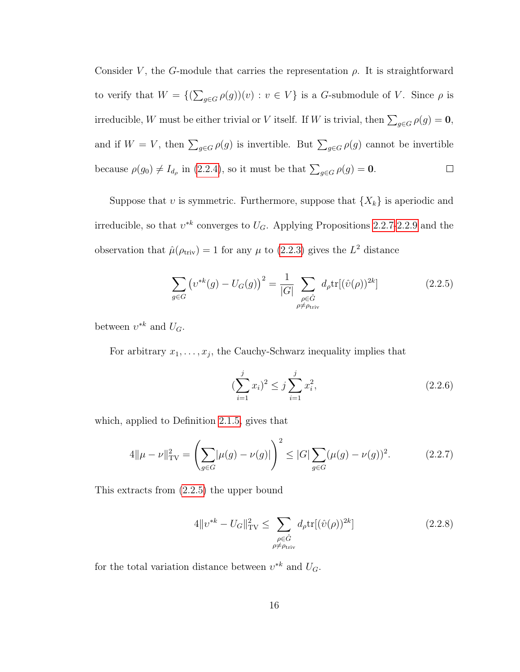Consider V, the G-module that carries the representation  $\rho$ . It is straightforward to verify that  $W = \{(\sum_{g \in G} \rho(g))(v) : v \in V\}$  is a G-submodule of V. Since  $\rho$  is irreducible, W must be either trivial or V itself. If W is trivial, then  $\sum_{g \in G} \rho(g) = \mathbf{0}$ , and if  $W = V$ , then  $\sum_{g \in G} \rho(g)$  is invertible. But  $\sum_{g \in G} \rho(g)$  cannot be invertible because  $\rho(g_0) \neq I_{d_\rho}$  in [\(2.2.4\)](#page-23-1), so it must be that  $\sum_{g \in G} \rho(g) = \mathbf{0}$ .  $\Box$ 

Suppose that  $v$  is symmetric. Furthermore, suppose that  $\{X_k\}$  is aperiodic and irreducible, so that  $v^{*k}$  converges to  $U_G$ . Applying Propositions [2.2.7-](#page-23-2)[2.2.9](#page-23-3) and the observation that  $\hat{\mu}(\rho_{\text{triv}}) = 1$  for any  $\mu$  to [\(2.2.3\)](#page-23-4) gives the  $L^2$  distance

<span id="page-24-0"></span>
$$
\sum_{g \in G} \left( v^{*k}(g) - U_G(g) \right)^2 = \frac{1}{|G|} \sum_{\substack{\rho \in \hat{G} \\ \rho \neq \rho_{\text{triv}}}} d_{\rho} \text{tr}[(\hat{v}(\rho))^{2k}] \tag{2.2.5}
$$

between  $v^{*k}$  and  $U_G$ .

For arbitrary  $x_1, \ldots, x_j$ , the Cauchy-Schwarz inequality implies that

$$
\left(\sum_{i=1}^{j} x_i\right)^2 \le j \sum_{i=1}^{j} x_i^2,\tag{2.2.6}
$$

which, applied to Definition [2.1.5,](#page-19-0) gives that

$$
4\|\mu - \nu\|_{\text{TV}}^2 = \left(\sum_{g \in G} |\mu(g) - \nu(g)|\right)^2 \le |G| \sum_{g \in G} (\mu(g) - \nu(g))^2. \tag{2.2.7}
$$

This extracts from [\(2.2.5\)](#page-24-0) the upper bound

<span id="page-24-1"></span>
$$
4\|v^{*k} - U_G\|_{\text{TV}}^2 \le \sum_{\substack{\rho \in \hat{G} \\ \rho \ne \rho_{\text{triv}}}} d_{\rho} \text{tr}[(\hat{v}(\rho))^{2k}] \tag{2.2.8}
$$

for the total variation distance between  $v^{*k}$  and  $U_G$ .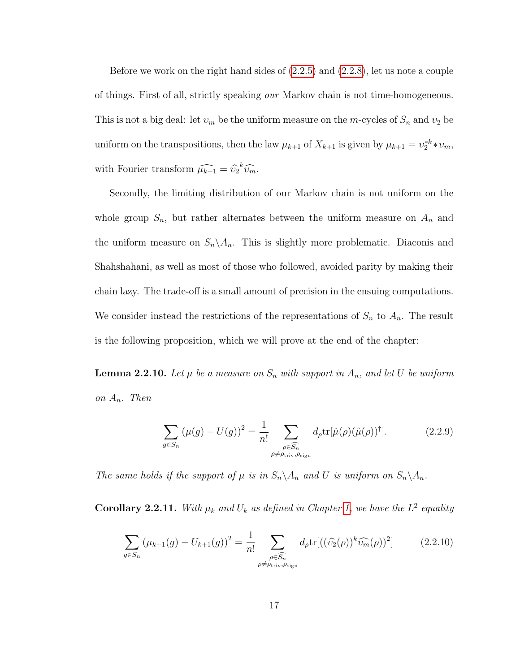Before we work on the right hand sides of [\(2.2.5\)](#page-24-0) and [\(2.2.8\)](#page-24-1), let us note a couple of things. First of all, strictly speaking our Markov chain is not time-homogeneous. This is not a big deal: let  $v_m$  be the uniform measure on the m-cycles of  $S_n$  and  $v_2$  be uniform on the transpositions, then the law  $\mu_{k+1}$  of  $X_{k+1}$  is given by  $\mu_{k+1} = \nu_2^{*k} * \nu_m$ , with Fourier transform  $\widehat{\mu_{k+1}} = \widehat{v}_2^k \widehat{v}_m^{\dagger}$ .

Secondly, the limiting distribution of our Markov chain is not uniform on the whole group  $S_n$ , but rather alternates between the uniform measure on  $A_n$  and the uniform measure on  $S_n \setminus A_n$ . This is slightly more problematic. Diaconis and Shahshahani, as well as most of those who followed, avoided parity by making their chain lazy. The trade-off is a small amount of precision in the ensuing computations. We consider instead the restrictions of the representations of  $S_n$  to  $A_n$ . The result is the following proposition, which we will prove at the end of the chapter:

<span id="page-25-1"></span>**Lemma 2.2.10.** Let  $\mu$  be a measure on  $S_n$  with support in  $A_n$ , and let U be uniform on  $A_n$ . Then

$$
\sum_{g \in S_n} (\mu(g) - U(g))^2 = \frac{1}{n!} \sum_{\substack{\rho \in \widehat{S_n} \\ \rho \neq \rho_{\text{triv}}, \rho_{\text{sign}}}} d_{\rho} \text{tr}[\hat{\mu}(\rho)(\hat{\mu}(\rho))^{\dagger}]. \tag{2.2.9}
$$

The same holds if the support of  $\mu$  is in  $S_n \backslash A_n$  and U is uniform on  $S_n \backslash A_n$ .

<span id="page-25-2"></span>**Corollary 2.2.11.** With  $\mu_k$  and  $U_k$  as defined in Chapter [1,](#page-9-0) we have the  $L^2$  equality

<span id="page-25-0"></span>
$$
\sum_{g \in S_n} \left(\mu_{k+1}(g) - U_{k+1}(g)\right)^2 = \frac{1}{n!} \sum_{\substack{\rho \in \widehat{S_n} \\ \rho \neq \rho_{\text{triv}}, \rho_{\text{sign}}}} d_{\rho} \text{tr}[(\widehat{v_2}(\rho))^k \widehat{v_m}(\rho))^2]
$$
(2.2.10)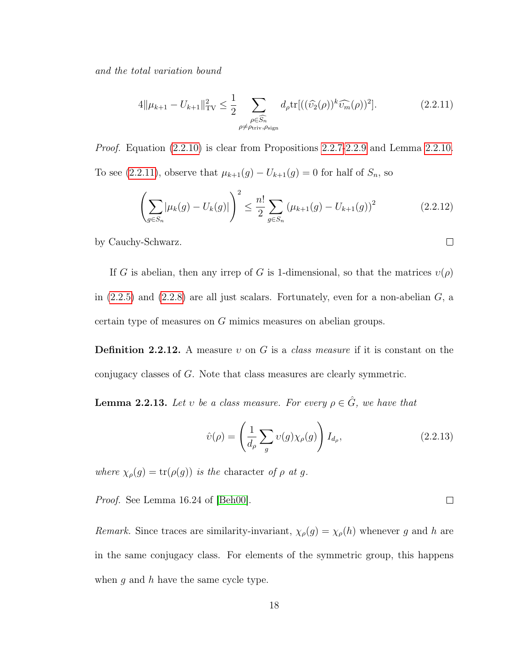and the total variation bound

<span id="page-26-0"></span>
$$
4\|\mu_{k+1} - U_{k+1}\|_{\text{TV}}^2 \le \frac{1}{2} \sum_{\substack{\rho \in \widehat{S}_n \\ \rho \ne \rho_{\text{triv}}, \rho_{\text{sign}}}} d_{\rho} \text{tr}[((\widehat{\upsilon_2}(\rho))^k \widehat{\upsilon_m}(\rho))^2]. \tag{2.2.11}
$$

*Proof.* Equation  $(2.2.10)$  is clear from Propositions  $2.2.7-2.2.9$  $2.2.7-2.2.9$  and Lemma  $2.2.10$ . To see [\(2.2.11\)](#page-26-0), observe that  $\mu_{k+1}(g) - U_{k+1}(g) = 0$  for half of  $S_n$ , so

$$
\left(\sum_{g \in S_n} |\mu_k(g) - U_k(g)|\right)^2 \le \frac{n!}{2} \sum_{g \in S_n} \left(\mu_{k+1}(g) - U_{k+1}(g)\right)^2 \tag{2.2.12}
$$

by Cauchy-Schwarz.

If G is abelian, then any irrep of G is 1-dimensional, so that the matrices  $v(\rho)$ in  $(2.2.5)$  and  $(2.2.8)$  are all just scalars. Fortunately, even for a non-abelian  $G$ , a certain type of measures on G mimics measures on abelian groups.

**Definition 2.2.12.** A measure  $v$  on  $G$  is a *class measure* if it is constant on the conjugacy classes of G. Note that class measures are clearly symmetric.

<span id="page-26-1"></span>**Lemma 2.2.13.** Let v be a class measure. For every  $\rho \in \hat{G}$ , we have that

$$
\hat{v}(\rho) = \left(\frac{1}{d_{\rho}} \sum_{g} v(g) \chi_{\rho}(g)\right) I_{d_{\rho}},\tag{2.2.13}
$$

where  $\chi_{\rho}(g) = \text{tr}(\rho(g))$  is the character of  $\rho$  at g.

Proof. See Lemma 16.24 of [\[Beh00\]](#page-65-3).

Remark. Since traces are similarity-invariant,  $\chi_{\rho}(g) = \chi_{\rho}(h)$  whenever g and h are in the same conjugacy class. For elements of the symmetric group, this happens when  $q$  and  $h$  have the same cycle type.

 $\Box$ 

 $\Box$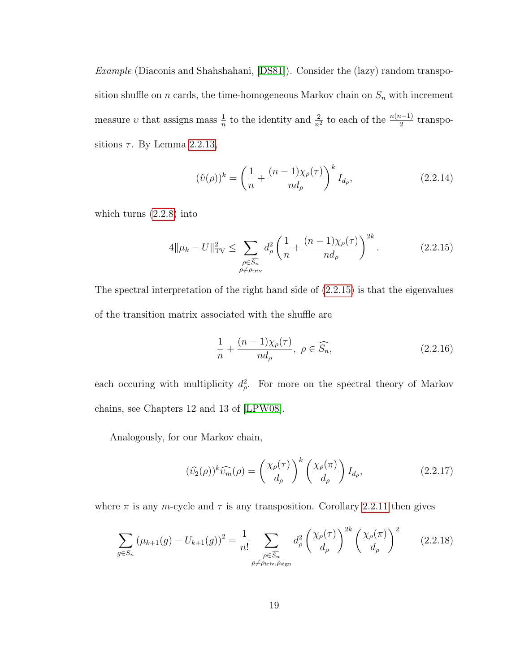Example (Diaconis and Shahshahani, [\[DS81\]](#page-66-0)). Consider the (lazy) random transposition shuffle on n cards, the time-homogeneous Markov chain on  $S_n$  with increment measure v that assigns mass  $\frac{1}{n}$  to the identity and  $\frac{2}{n^2}$  to each of the  $\frac{n(n-1)}{2}$  transpositions  $\tau$ . By Lemma [2.2.13,](#page-26-1)

$$
(\hat{v}(\rho))^k = \left(\frac{1}{n} + \frac{(n-1)\chi_\rho(\tau)}{nd_\rho}\right)^k I_{d_\rho},
$$
\n(2.2.14)

which turns [\(2.2.8\)](#page-24-1) into

<span id="page-27-0"></span>
$$
4\|\mu_k - U\|_{\text{TV}}^2 \le \sum_{\substack{\rho \in \widehat{S}_n \\ \rho \ne \rho_{\text{triv}}}} d_\rho^2 \left(\frac{1}{n} + \frac{(n-1)\chi_\rho(\tau)}{nd_\rho}\right)^{2k}.\tag{2.2.15}
$$

The spectral interpretation of the right hand side of [\(2.2.15\)](#page-27-0) is that the eigenvalues of the transition matrix associated with the shuffle are

$$
\frac{1}{n} + \frac{(n-1)\chi_{\rho}(\tau)}{nd_{\rho}}, \ \rho \in \widehat{S_n},\tag{2.2.16}
$$

each occuring with multiplicity  $d_{\rho}^2$ . For more on the spectral theory of Markov chains, see Chapters 12 and 13 of [\[LPW08\]](#page-68-4).

Analogously, for our Markov chain,

$$
(\widehat{\upsilon_2}(\rho))^k \widehat{\upsilon_m}(\rho) = \left(\frac{\chi_\rho(\tau)}{d_\rho}\right)^k \left(\frac{\chi_\rho(\pi)}{d_\rho}\right) I_{d_\rho},\tag{2.2.17}
$$

where  $\pi$  is any m-cycle and  $\tau$  is any transposition. Corollary [2.2.11](#page-25-2) then gives

$$
\sum_{g \in S_n} \left(\mu_{k+1}(g) - U_{k+1}(g)\right)^2 = \frac{1}{n!} \sum_{\substack{\rho \in \widehat{S_n} \\ \rho \neq \rho_{\text{triv}}, \rho_{\text{sign}}}} d_\rho^2 \left(\frac{\chi_\rho(\tau)}{d_\rho}\right)^{2k} \left(\frac{\chi_\rho(\pi)}{d_\rho}\right)^2 \tag{2.2.18}
$$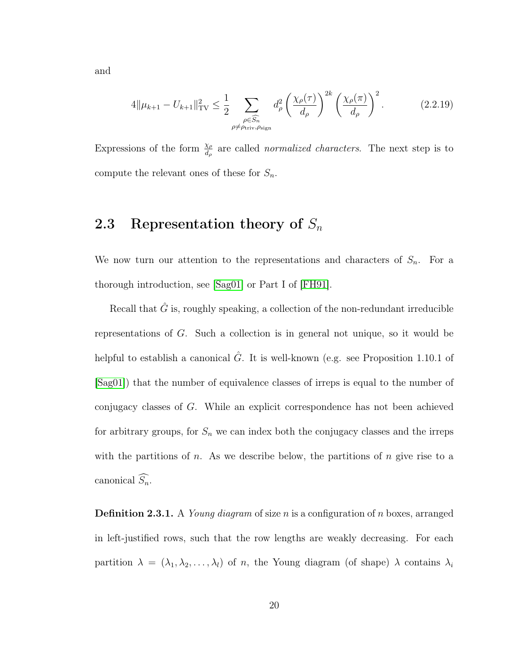and

$$
4\|\mu_{k+1} - U_{k+1}\|_{\text{TV}}^2 \le \frac{1}{2} \sum_{\substack{\rho \in \widehat{S}_n \\ \rho \ne \rho_{\text{triv}}, \rho_{\text{sign}}}} d_\rho^2 \left(\frac{\chi_\rho(\tau)}{d_\rho}\right)^{2k} \left(\frac{\chi_\rho(\pi)}{d_\rho}\right)^2. \tag{2.2.19}
$$

Expressions of the form  $\frac{\chi_{\rho}}{d_{\rho}}$  are called *normalized characters*. The next step is to compute the relevant ones of these for  $S_n$ .

# <span id="page-28-0"></span>2.3 Representation theory of  $S_n$

We now turn our attention to the representations and characters of  $S_n$ . For a thorough introduction, see [\[Sag01\]](#page-70-5) or Part I of [\[FH91\]](#page-67-3).

Recall that  $\hat{G}$  is, roughly speaking, a collection of the non-redundant irreducible representations of G. Such a collection is in general not unique, so it would be helpful to establish a canonical  $\hat{G}$ . It is well-known (e.g. see Proposition 1.10.1 of [\[Sag01\]](#page-70-5)) that the number of equivalence classes of irreps is equal to the number of conjugacy classes of G. While an explicit correspondence has not been achieved for arbitrary groups, for  $S_n$  we can index both the conjugacy classes and the irreps with the partitions of  $n$ . As we describe below, the partitions of  $n$  give rise to a canonical  $\widehat{S_n}$ .

**Definition 2.3.1.** A *Young diagram* of size *n* is a configuration of *n* boxes, arranged in left-justified rows, such that the row lengths are weakly decreasing. For each partition  $\lambda = (\lambda_1, \lambda_2, \dots, \lambda_l)$  of n, the Young diagram (of shape)  $\lambda$  contains  $\lambda_i$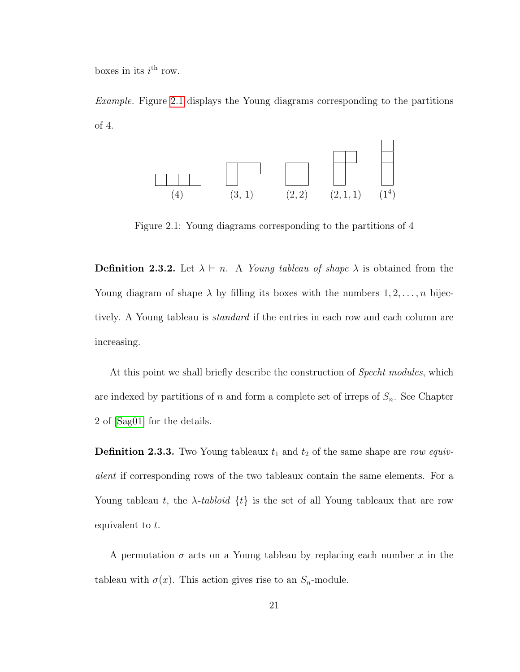boxes in its  $i^{\text{th}}$  row.

Example. Figure [2.1](#page-29-0) displays the Young diagrams corresponding to the partitions of 4.



<span id="page-29-0"></span>Figure 2.1: Young diagrams corresponding to the partitions of 4

**Definition 2.3.2.** Let  $\lambda \vdash n$ . A *Young tableau of shape*  $\lambda$  is obtained from the Young diagram of shape  $\lambda$  by filling its boxes with the numbers  $1, 2, \ldots, n$  bijectively. A Young tableau is *standard* if the entries in each row and each column are increasing.

At this point we shall briefly describe the construction of *Specht modules*, which are indexed by partitions of n and form a complete set of irreps of  $S_n$ . See Chapter 2 of [\[Sag01\]](#page-70-5) for the details.

**Definition 2.3.3.** Two Young tableaux  $t_1$  and  $t_2$  of the same shape are row equivalent if corresponding rows of the two tableaux contain the same elements. For a Young tableau t, the  $\lambda$ -tabloid  $\{t\}$  is the set of all Young tableaux that are row equivalent to t.

A permutation  $\sigma$  acts on a Young tableau by replacing each number x in the tableau with  $\sigma(x)$ . This action gives rise to an  $S_n$ -module.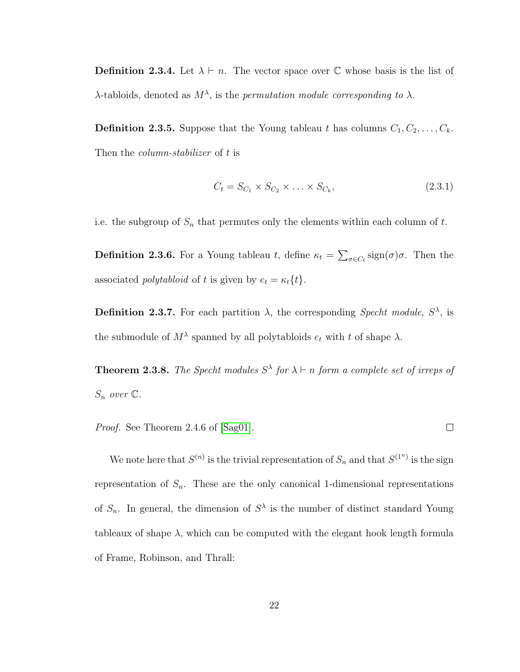**Definition 2.3.4.** Let  $\lambda \vdash n$ . The vector space over C whose basis is the list of  $\lambda$ -tabloids, denoted as  $M^{\lambda}$ , is the permutation module corresponding to  $\lambda$ .

**Definition 2.3.5.** Suppose that the Young tableau t has columns  $C_1, C_2, \ldots, C_k$ . Then the *column-stabilizer* of t is

$$
C_t = S_{C_1} \times S_{C_2} \times \ldots \times S_{C_k},\tag{2.3.1}
$$

 $\Box$ 

i.e. the subgroup of  $S_n$  that permutes only the elements within each column of  $t$ .

**Definition 2.3.6.** For a Young tableau t, define  $\kappa_t = \sum_{\sigma \in C_t} sign(\sigma)\sigma$ . Then the associated *polytabloid* of t is given by  $e_t = \kappa_t\{t\}.$ 

**Definition 2.3.7.** For each partition  $\lambda$ , the corresponding Specht module,  $S^{\lambda}$ , is the submodule of  $M^{\lambda}$  spanned by all polytabloids  $e_t$  with t of shape  $\lambda$ .

**Theorem 2.3.8.** The Specht modules  $S^{\lambda}$  for  $\lambda \vdash n$  form a complete set of irreps of  $S_n$  over  $\mathbb C$ .

Proof. See Theorem 2.4.6 of [\[Sag01\]](#page-70-5).

We note here that  $S^{(n)}$  is the trivial representation of  $S_n$  and that  $S^{(1^n)}$  is the sign representation of  $S_n$ . These are the only canonical 1-dimensional representations of  $S_n$ . In general, the dimension of  $S^{\lambda}$  is the number of distinct standard Young tableaux of shape  $\lambda$ , which can be computed with the elegant hook length formula of Frame, Robinson, and Thrall: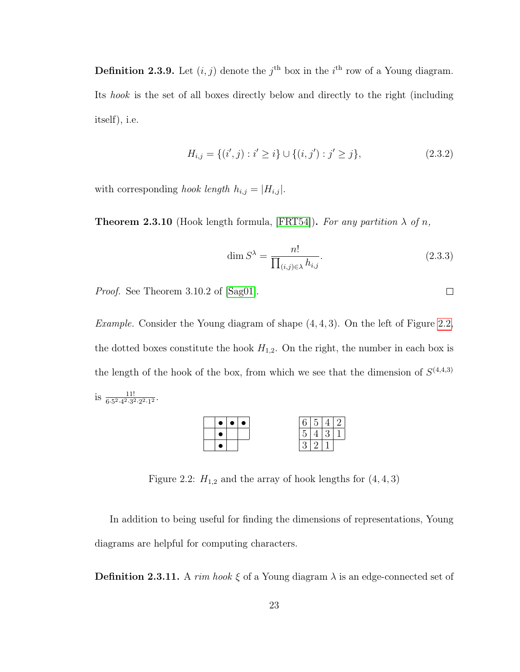**Definition 2.3.9.** Let  $(i, j)$  denote the j<sup>th</sup> box in the i<sup>th</sup> row of a Young diagram. Its hook is the set of all boxes directly below and directly to the right (including itself), i.e.

$$
H_{i,j} = \{(i',j) : i' \ge i\} \cup \{(i,j') : j' \ge j\},\tag{2.3.2}
$$

with corresponding hook length  $h_{i,j} = |H_{i,j}|$ .

**Theorem 2.3.10** (Hook length formula, [\[FRT54\]](#page-67-4)). For any partition  $\lambda$  of n,

$$
\dim S^{\lambda} = \frac{n!}{\prod_{(i,j)\in\lambda} h_{i,j}}.
$$
\n(2.3.3)

Proof. See Theorem 3.10.2 of [\[Sag01\]](#page-70-5).

*Example.* Consider the Young diagram of shape  $(4, 4, 3)$ . On the left of Figure [2.2,](#page-31-0) the dotted boxes constitute the hook  $H_{1,2}$ . On the right, the number in each box is the length of the hook of the box, from which we see that the dimension of  $S^{(4,4,3)}$ is  $\frac{11!}{6 \cdot 5^2 \cdot 4^2 \cdot 3^2 \cdot 2^2 \cdot 1^2}$ .



<span id="page-31-0"></span>Figure 2.2:  $H_{1,2}$  and the array of hook lengths for  $(4, 4, 3)$ 

In addition to being useful for finding the dimensions of representations, Young diagrams are helpful for computing characters.

**Definition 2.3.11.** A rim hook  $\xi$  of a Young diagram  $\lambda$  is an edge-connected set of

 $\Box$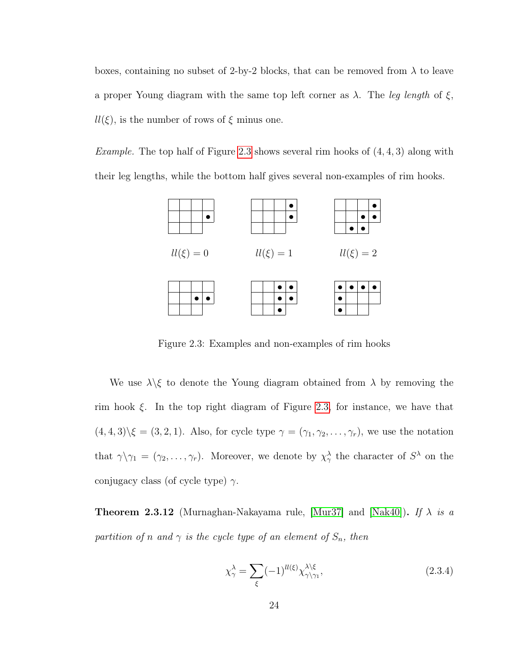boxes, containing no subset of 2-by-2 blocks, that can be removed from  $\lambda$  to leave a proper Young diagram with the same top left corner as  $\lambda$ . The leg length of  $\xi$ ,  $ll(\xi)$ , is the number of rows of  $\xi$  minus one.

*Example.* The top half of Figure [2.3](#page-32-0) shows several rim hooks of  $(4, 4, 3)$  along with their leg lengths, while the bottom half gives several non-examples of rim hooks.



<span id="page-32-0"></span>Figure 2.3: Examples and non-examples of rim hooks

We use  $\lambda \xi$  to denote the Young diagram obtained from  $\lambda$  by removing the rim hook  $\xi$ . In the top right diagram of Figure [2.3,](#page-32-0) for instance, we have that  $(4,4,3)\xi = (3,2,1)$ . Also, for cycle type  $\gamma = (\gamma_1, \gamma_2, \dots, \gamma_r)$ , we use the notation that  $\gamma \setminus \gamma_1 = (\gamma_2, \ldots, \gamma_r)$ . Moreover, we denote by  $\chi^{\lambda}_{\gamma}$  the character of  $S^{\lambda}$  on the conjugacy class (of cycle type)  $\gamma$ .

**Theorem 2.3.12** (Murnaghan-Nakayama rule, [\[Mur37\]](#page-69-5) and [\[Nak40\]](#page-69-6)). If  $\lambda$  is a partition of n and  $\gamma$  is the cycle type of an element of  $S_n$ , then

$$
\chi_{\gamma}^{\lambda} = \sum_{\xi} (-1)^{ll(\xi)} \chi_{\gamma \backslash \gamma_1}^{\lambda \backslash \xi}, \tag{2.3.4}
$$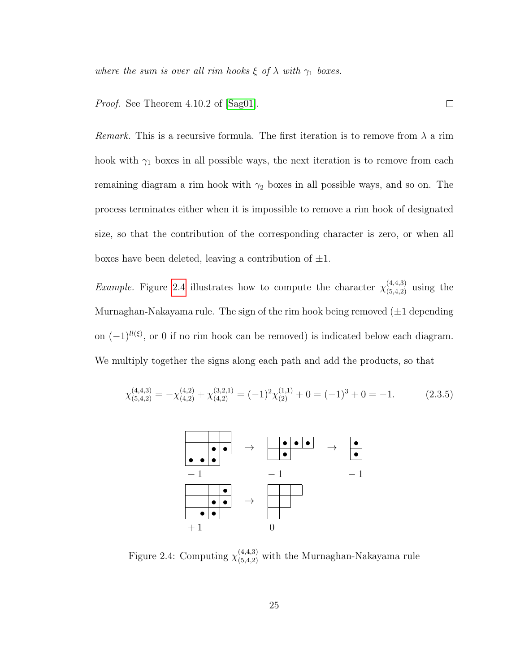where the sum is over all rim hooks  $\xi$  of  $\lambda$  with  $\gamma_1$  boxes.

Proof. See Theorem 4.10.2 of [\[Sag01\]](#page-70-5).

*Remark.* This is a recursive formula. The first iteration is to remove from  $\lambda$  a rim hook with  $\gamma_1$  boxes in all possible ways, the next iteration is to remove from each remaining diagram a rim hook with  $\gamma_2$  boxes in all possible ways, and so on. The process terminates either when it is impossible to remove a rim hook of designated size, so that the contribution of the corresponding character is zero, or when all boxes have been deleted, leaving a contribution of  $\pm 1$ .

 $\Box$ 

*Example.* Figure [2.4](#page-33-0) illustrates how to compute the character  $\chi^{(4,4,3)}_{(5,4,2)}$  using the Murnaghan-Nakayama rule. The sign of the rim hook being removed  $(\pm 1$  depending on  $(-1)^{ll(\xi)}$ , or 0 if no rim hook can be removed) is indicated below each diagram. We multiply together the signs along each path and add the products, so that

$$
\chi_{(5,4,2)}^{(4,4,3)} = -\chi_{(4,2)}^{(4,2)} + \chi_{(4,2)}^{(3,2,1)} = (-1)^2 \chi_{(2)}^{(1,1)} + 0 = (-1)^3 + 0 = -1. \tag{2.3.5}
$$



<span id="page-33-0"></span>Figure 2.4: Computing  $\chi_{(5,4,2)}^{(4,4,3)}$  with the Murnaghan-Nakayama rule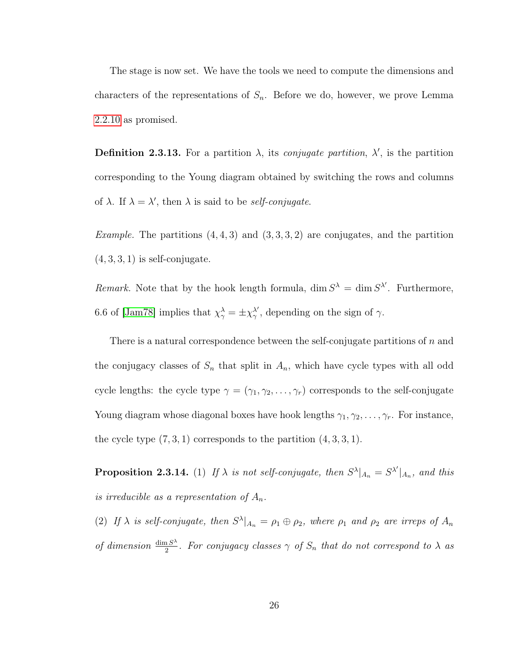The stage is now set. We have the tools we need to compute the dimensions and characters of the representations of  $S_n$ . Before we do, however, we prove Lemma [2.2.10](#page-25-1) as promised.

**Definition 2.3.13.** For a partition  $\lambda$ , its *conjugate partition*,  $\lambda'$ , is the partition corresponding to the Young diagram obtained by switching the rows and columns of  $\lambda$ . If  $\lambda = \lambda'$ , then  $\lambda$  is said to be *self-conjugate*.

*Example.* The partitions  $(4, 4, 3)$  and  $(3, 3, 3, 2)$  are conjugates, and the partition  $(4, 3, 3, 1)$  is self-conjugate.

Remark. Note that by the hook length formula,  $\dim S^{\lambda} = \dim S^{\lambda'}$ . Furthermore, 6.6 of [\[Jam78\]](#page-67-5) implies that  $\chi^{\lambda}_{\gamma} = \pm \chi^{\lambda'}_{\gamma}$  $\frac{\lambda'}{\gamma}$ , depending on the sign of  $\gamma$ .

There is a natural correspondence between the self-conjugate partitions of  $n$  and the conjugacy classes of  $S_n$  that split in  $A_n$ , which have cycle types with all odd cycle lengths: the cycle type  $\gamma = (\gamma_1, \gamma_2, \dots, \gamma_r)$  corresponds to the self-conjugate Young diagram whose diagonal boxes have hook lengths  $\gamma_1, \gamma_2, \ldots, \gamma_r$ . For instance, the cycle type  $(7, 3, 1)$  corresponds to the partition  $(4, 3, 3, 1)$ .

<span id="page-34-0"></span>**Proposition 2.3.14.** (1) If  $\lambda$  is not self-conjugate, then  $S^{\lambda}|_{A_n} = S^{\lambda'}|_{A_n}$ , and this is irreducible as a representation of  $A_n$ .

(2) If  $\lambda$  is self-conjugate, then  $S^{\lambda}|_{A_n} = \rho_1 \oplus \rho_2$ , where  $\rho_1$  and  $\rho_2$  are irreps of  $A_n$ of dimension  $\frac{\dim S^{\lambda}}{2}$  $\frac{a S^{\lambda}}{2}$ . For conjugacy classes  $\gamma$  of  $S_n$  that do not correspond to  $\lambda$  as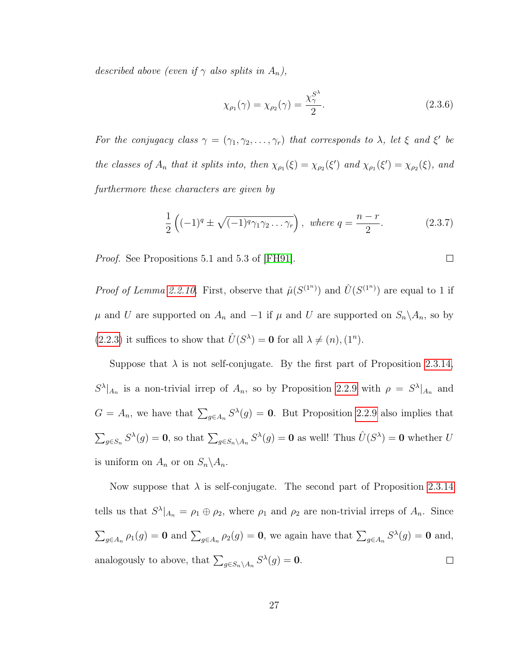described above (even if  $\gamma$  also splits in  $A_n$ ),

$$
\chi_{\rho_1}(\gamma) = \chi_{\rho_2}(\gamma) = \frac{\chi_{\gamma}^{S^{\lambda}}}{2}.
$$
 (2.3.6)

For the conjugacy class  $\gamma = (\gamma_1, \gamma_2, \dots, \gamma_r)$  that corresponds to  $\lambda$ , let  $\xi$  and  $\xi'$  be the classes of  $A_n$  that it splits into, then  $\chi_{\rho_1}(\xi) = \chi_{\rho_2}(\xi')$  and  $\chi_{\rho_1}(\xi') = \chi_{\rho_2}(\xi)$ , and furthermore these characters are given by

$$
\frac{1}{2}\left((-1)^{q} \pm \sqrt{(-1)^{q}\gamma_{1}\gamma_{2}\dots\gamma_{r}}\right), \text{ where } q = \frac{n-r}{2}.
$$
 (2.3.7)

Proof. See Propositions 5.1 and 5.3 of [\[FH91\]](#page-67-3).

*Proof of Lemma [2.2.10.](#page-25-1)* First, observe that  $\hat{\mu}(S^{(1^n)})$  and  $\hat{U}(S^{(1^n)})$  are equal to 1 if  $\mu$  and U are supported on  $A_n$  and  $-1$  if  $\mu$  and U are supported on  $S_n \setminus A_n$ , so by [\(2.2.3\)](#page-23-4) it suffices to show that  $\hat{U}(S^{\lambda}) = 0$  for all  $\lambda \neq (n), (1^{n}).$ 

Suppose that  $\lambda$  is not self-conjugate. By the first part of Proposition [2.3.14,](#page-34-0)  $S^{\lambda}|_{A_n}$  is a non-trivial irrep of  $A_n$ , so by Proposition [2.2.9](#page-23-3) with  $\rho = S^{\lambda}|_{A_n}$  and  $G = A_n$ , we have that  $\sum_{g \in A_n} S^{\lambda}(g) = 0$ . But Proposition [2.2.9](#page-23-3) also implies that  $\sum_{g\in S_n} S^{\lambda}(g) = \mathbf{0}$ , so that  $\sum_{g\in S_n\setminus A_n} S^{\lambda}(g) = \mathbf{0}$  as well! Thus  $\hat{U}(S^{\lambda}) = \mathbf{0}$  whether U is uniform on  $A_n$  or on  $S_n \backslash A_n$ .

Now suppose that  $\lambda$  is self-conjugate. The second part of Proposition [2.3.14](#page-34-0) tells us that  $S^{\lambda}|_{A_n} = \rho_1 \oplus \rho_2$ , where  $\rho_1$  and  $\rho_2$  are non-trivial irreps of  $A_n$ . Since  $\sum_{g\in A_n} \rho_1(g) = \mathbf{0}$  and  $\sum_{g\in A_n} \rho_2(g) = \mathbf{0}$ , we again have that  $\sum_{g\in A_n} S^{\lambda}(g) = \mathbf{0}$  and, analogously to above, that  $\sum_{g \in S_n \setminus A_n} S^{\lambda}(g) = \mathbf{0}$ .  $\Box$ 

$$
\Box
$$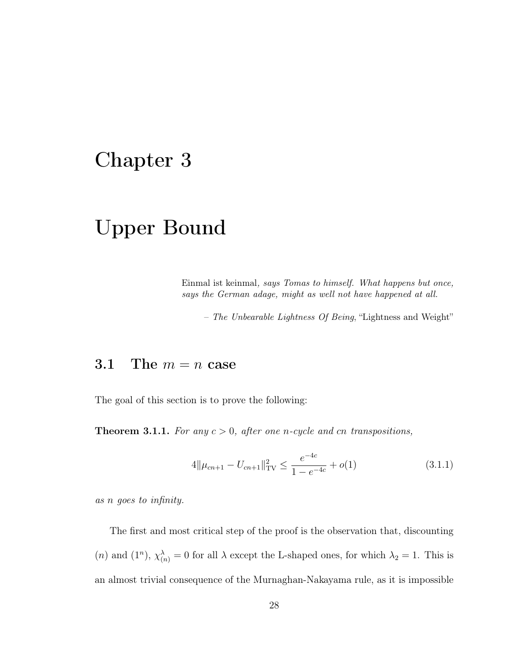### Chapter 3

## Upper Bound

Einmal ist keinmal, says Tomas to himself. What happens but once, says the German adage, might as well not have happened at all.

– The Unbearable Lightness Of Being, "Lightness and Weight"

### 3.1 The  $m = n$  case

<span id="page-36-0"></span>The goal of this section is to prove the following:

**Theorem 3.1.1.** For any  $c > 0$ , after one n-cycle and cn transpositions,

$$
4\|\mu_{cn+1} - U_{cn+1}\|_{\text{TV}}^2 \le \frac{e^{-4c}}{1 - e^{-4c}} + o(1) \tag{3.1.1}
$$

as n goes to infinity.

The first and most critical step of the proof is the observation that, discounting (*n*) and (1<sup>n</sup>),  $\chi^{\lambda}_{(n)} = 0$  for all  $\lambda$  except the L-shaped ones, for which  $\lambda_2 = 1$ . This is an almost trivial consequence of the Murnaghan-Nakayama rule, as it is impossible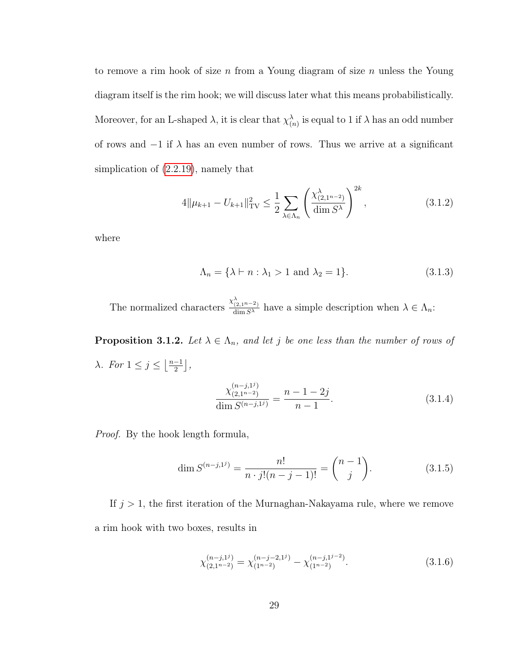to remove a rim hook of size n from a Young diagram of size n unless the Young diagram itself is the rim hook; we will discuss later what this means probabilistically. Moreover, for an L-shaped  $\lambda$ , it is clear that  $\chi^{\lambda}_{(n)}$  is equal to 1 if  $\lambda$  has an odd number of rows and  $-1$  if  $\lambda$  has an even number of rows. Thus we arrive at a significant simplication of [\(2.2.19\)](#page-28-0), namely that

$$
4\|\mu_{k+1} - U_{k+1}\|_{\text{TV}}^2 \le \frac{1}{2} \sum_{\lambda \in \Lambda_n} \left( \frac{\chi_{(2,1^{n-2})}^{\lambda}}{\dim S^{\lambda}} \right)^{2k},\tag{3.1.2}
$$

where

$$
\Lambda_n = \{ \lambda \vdash n : \lambda_1 > 1 \text{ and } \lambda_2 = 1 \}. \tag{3.1.3}
$$

The normalized characters  $\frac{\chi^{\lambda}_{(2,1^{n-2})}}{\dim S^{\lambda}}$  have a simple description when  $\lambda \in \Lambda_n$ :

<span id="page-37-1"></span>**Proposition 3.1.2.** Let  $\lambda \in \Lambda_n$ , and let j be one less than the number of rows of λ. For  $1 \leq j \leq \left\lfloor \frac{n-1}{2} \right\rfloor$  $\frac{-1}{2}$ ,

$$
\frac{\chi_{(2,1^{n-2})}^{(n-j,1^j)}}{\dim S^{(n-j,1^j)}} = \frac{n-1-2j}{n-1}.
$$
\n(3.1.4)

Proof. By the hook length formula,

<span id="page-37-0"></span>
$$
\dim S^{(n-j,1^j)} = \frac{n!}{n \cdot j!(n-j-1)!} = \binom{n-1}{j}.
$$
\n(3.1.5)

If  $j > 1$ , the first iteration of the Murnaghan-Nakayama rule, where we remove a rim hook with two boxes, results in

$$
\chi_{(2,1^{n-2})}^{(n-j,1^j)} = \chi_{(1^{n-2})}^{(n-j-2,1^j)} - \chi_{(1^{n-2})}^{(n-j,1^{j-2})}.
$$
\n(3.1.6)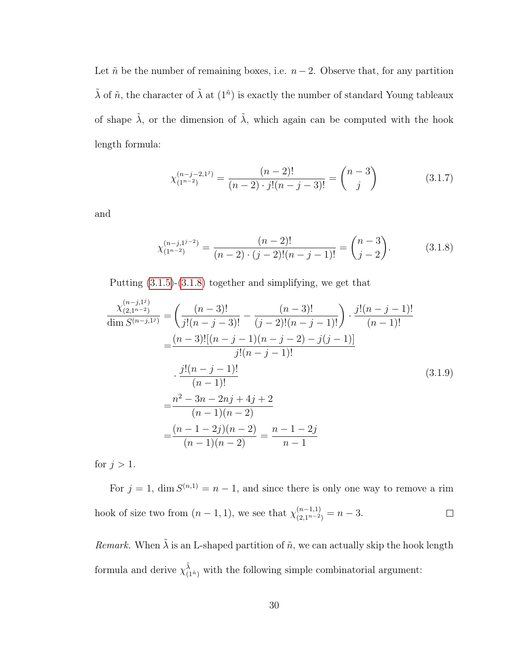Let  $\tilde{n}$  be the number of remaining boxes, i.e.  $n-2$ . Observe that, for any partition  $\tilde{\lambda}$  of  $\tilde{n}$ , the character of  $\tilde{\lambda}$  at  $(1<sup>\tilde{n}</sup>)$  is exactly the number of standard Young tableaux of shape  $\tilde{\lambda}$ , or the dimension of  $\tilde{\lambda}$ , which again can be computed with the hook length formula:

$$
\chi_{(1^{n-2})}^{(n-j-2,1^j)} = \frac{(n-2)!}{(n-2) \cdot j!(n-j-3)!} = \binom{n-3}{j} \tag{3.1.7}
$$

and

<span id="page-38-0"></span>
$$
\chi_{(1^{n-2})}^{(n-j,1^{j-2})} = \frac{(n-2)!}{(n-2)\cdot(j-2)!(n-j-1)!} = \binom{n-3}{j-2}.
$$
\n(3.1.8)

Putting [\(3.1.5\)](#page-37-0)-[\(3.1.8\)](#page-38-0) together and simplifying, we get that

$$
\frac{\chi_{(2,1^{n-2})}^{(n-j,1^{j})}}{\dim S^{(n-j,1^{j})}} = \left(\frac{(n-3)!}{j!(n-j-3)!} - \frac{(n-3)!}{(j-2)!(n-j-1)!}\right) \cdot \frac{j!(n-j-1)!}{(n-1)!}
$$
\n
$$
= \frac{(n-3)![(n-j-1)(n-j-2) - j(j-1)]}{j!(n-j-1)!}
$$
\n
$$
\cdot \frac{j!(n-j-1)!}{(n-1)!}
$$
\n
$$
= \frac{n^{2} - 3n - 2nj + 4j + 2}{(n-1)(n-2)}
$$
\n
$$
= \frac{(n-1-2j)(n-2)}{(n-1)(n-2)} = \frac{n-1-2j}{n-1}
$$
\n(3.1.9)

for  $j > 1$ .

For  $j = 1$ , dim  $S^{(n,1)} = n - 1$ , and since there is only one way to remove a rim hook of size two from  $(n-1,1)$ , we see that  $\chi_{(2,1^{n-2})}^{(n-1,1)} = n-3$ .  $\Box$ 

Remark. When  $\tilde{\lambda}$  is an L-shaped partition of  $\tilde{n}$ , we can actually skip the hook length formula and derive  $\chi_{(1^n)}^{\tilde{\lambda}}$  with the following simple combinatorial argument: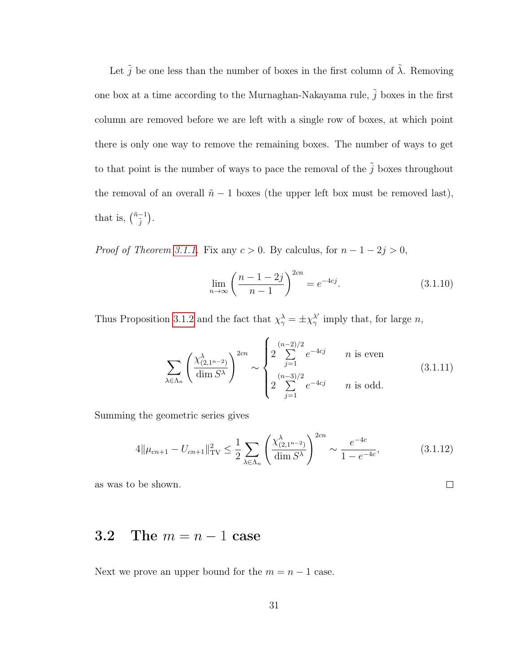Let  $\tilde{j}$  be one less than the number of boxes in the first column of  $\tilde{\lambda}$ . Removing one box at a time according to the Murnaghan-Nakayama rule,  $\tilde{j}$  boxes in the first column are removed before we are left with a single row of boxes, at which point there is only one way to remove the remaining boxes. The number of ways to get to that point is the number of ways to pace the removal of the  $\tilde{j}$  boxes throughout the removal of an overall  $\tilde{n} - 1$  boxes (the upper left box must be removed last), that is,  $\binom{\tilde{n}-1}{\tilde{j}}$ .

*Proof of Theorem [3.1.1.](#page-36-0)* Fix any  $c > 0$ . By calculus, for  $n - 1 - 2j > 0$ ,

<span id="page-39-0"></span>
$$
\lim_{n \to \infty} \left( \frac{n - 1 - 2j}{n - 1} \right)^{2cn} = e^{-4cj}.
$$
\n(3.1.10)

 $\Box$ 

Thus Proposition [3.1.2](#page-37-1) and the fact that  $\chi^{\lambda}_{\gamma} = \pm \chi^{\lambda'}_{\gamma}$  $\frac{\lambda'}{\gamma}$  imply that, for large *n*,

$$
\sum_{\lambda \in \Lambda_n} \left( \frac{\chi^{\lambda}_{(2,1^{n-2})}}{\dim S^{\lambda}} \right)^{2cn} \sim \begin{cases} 2 \sum_{j=1}^{(n-2)/2} e^{-4cj} & n \text{ is even} \\ 2 \sum_{j=1}^{(n-3)/2} e^{-4cj} & n \text{ is odd.} \end{cases} (3.1.11)
$$

Summing the geometric series gives

$$
4\|\mu_{cn+1} - U_{cn+1}\|_{\text{TV}}^2 \le \frac{1}{2} \sum_{\lambda \in \Lambda_n} \left(\frac{\chi^{\lambda}_{(2,1^{n-2})}}{\dim S^{\lambda}}\right)^{2cn} \sim \frac{e^{-4c}}{1 - e^{-4c}},\tag{3.1.12}
$$

as was to be shown.

### 3.2 The  $m = n - 1$  case

Next we prove an upper bound for the  $m = n - 1$  case.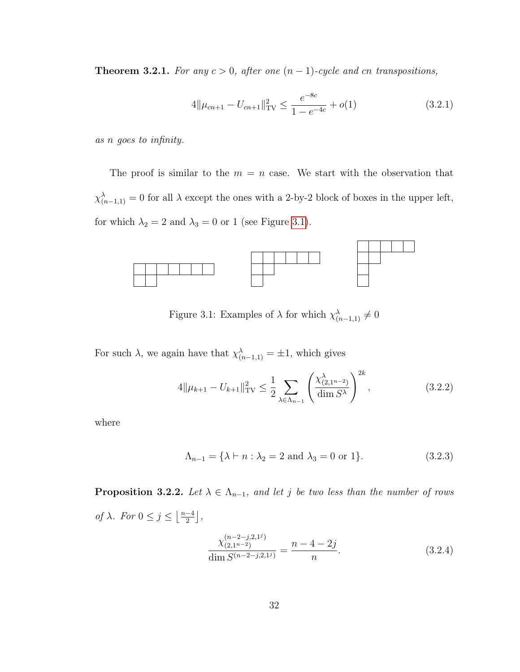<span id="page-40-1"></span>Theorem 3.2.1. For any  $c > 0$ , after one  $(n - 1)$ -cycle and cn transpositions,

$$
4\|\mu_{cn+1} - U_{cn+1}\|_{\text{TV}}^2 \le \frac{e^{-8c}}{1 - e^{-4c}} + o(1) \tag{3.2.1}
$$

as n goes to infinity.

The proof is similar to the  $m = n$  case. We start with the observation that  $\chi^{\lambda}_{(n-1,1)} = 0$  for all  $\lambda$  except the ones with a 2-by-2 block of boxes in the upper left, for which  $\lambda_2 = 2$  and  $\lambda_3 = 0$  or 1 (see Figure [3.1\)](#page-40-0).



<span id="page-40-0"></span>Figure 3.1: Examples of  $\lambda$  for which  $\chi^{\lambda}_{(n-1,1)} \neq 0$ 

For such  $\lambda$ , we again have that  $\chi^{\lambda}_{(n-1,1)} = \pm 1$ , which gives

$$
4\|\mu_{k+1} - U_{k+1}\|_{\text{TV}}^2 \le \frac{1}{2} \sum_{\lambda \in \Lambda_{n-1}} \left(\frac{\chi^{\lambda}_{(2,1^{n-2})}}{\dim S^{\lambda}}\right)^{2k},\tag{3.2.2}
$$

where

$$
\Lambda_{n-1} = \{ \lambda \vdash n : \lambda_2 = 2 \text{ and } \lambda_3 = 0 \text{ or } 1 \}. \tag{3.2.3}
$$

<span id="page-40-2"></span>**Proposition 3.2.2.** Let  $\lambda \in \Lambda_{n-1}$ , and let j be two less than the number of rows of  $\lambda$ . For  $0 \leq j \leq \left\lfloor \frac{n-4}{2} \right\rfloor$  $\frac{-4}{2}$ ,  $\chi_{(2\,1^{n-2})}^{(n-2-j,2,1^j)}$  $(2,1^{n-2})$  $\frac{\dim S^{(n-2-j,2,1^j)}}{\dim S^{(n-2-j,2,1^j)}}$  $n - 4 - 2j$  $\overline{n}$  $(3.2.4)$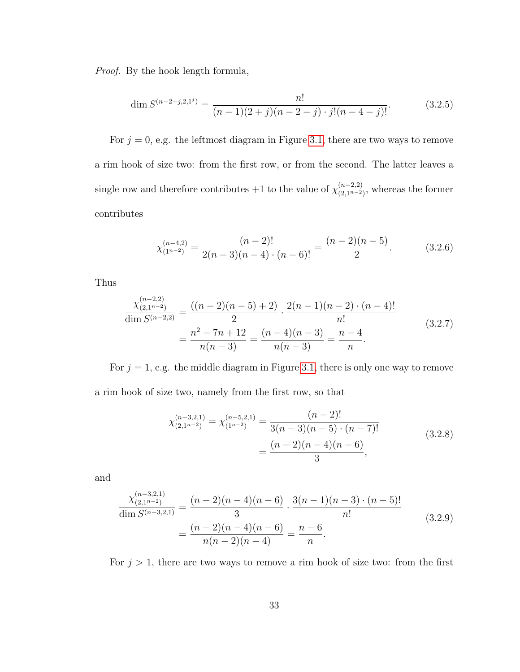Proof. By the hook length formula,

$$
\dim S^{(n-2-j,2,1^j)} = \frac{n!}{(n-1)(2+j)(n-2-j)\cdot j!(n-4-j)!}.\tag{3.2.5}
$$

For  $j = 0$ , e.g. the leftmost diagram in Figure [3.1,](#page-40-0) there are two ways to remove a rim hook of size two: from the first row, or from the second. The latter leaves a single row and therefore contributes  $+1$  to the value of  $\chi_{(2,n-2)}^{(n-2,2)}$  $\binom{(n-2,2)}{(2,1^{n-2})}$ , whereas the former contributes

$$
\chi_{(1^{n-2})}^{(n-4,2)} = \frac{(n-2)!}{2(n-3)(n-4)\cdot(n-6)!} = \frac{(n-2)(n-5)}{2}.
$$
 (3.2.6)

Thus

$$
\frac{\chi_{(2,1^{n-2})}^{(n-2,2)}}{\dim S^{(n-2,2)}} = \frac{((n-2)(n-5)+2)}{2} \cdot \frac{2(n-1)(n-2) \cdot (n-4)!}{n!}
$$
\n
$$
= \frac{n^2 - 7n + 12}{n(n-3)} = \frac{(n-4)(n-3)}{n(n-3)} = \frac{n-4}{n}.
$$
\n(3.2.7)

For  $j = 1$ , e.g. the middle diagram in Figure [3.1,](#page-40-0) there is only one way to remove a rim hook of size two, namely from the first row, so that

$$
\chi_{(2,1^{n-2})}^{(n-3,2,1)} = \chi_{(1^{n-2})}^{(n-5,2,1)} = \frac{(n-2)!}{3(n-3)(n-5) \cdot (n-7)!} = \frac{(n-2)(n-4)(n-6)}{3},
$$
\n(3.2.8)

and

$$
\frac{\chi_{(2,1^{n-2})}^{(n-3,2,1)}}{\dim S^{(n-3,2,1)}} = \frac{(n-2)(n-4)(n-6)}{3} \cdot \frac{3(n-1)(n-3) \cdot (n-5)!}{n!}
$$
\n
$$
= \frac{(n-2)(n-4)(n-6)}{n(n-2)(n-4)} = \frac{n-6}{n}.
$$
\n(3.2.9)

For  $j > 1$ , there are two ways to remove a rim hook of size two: from the first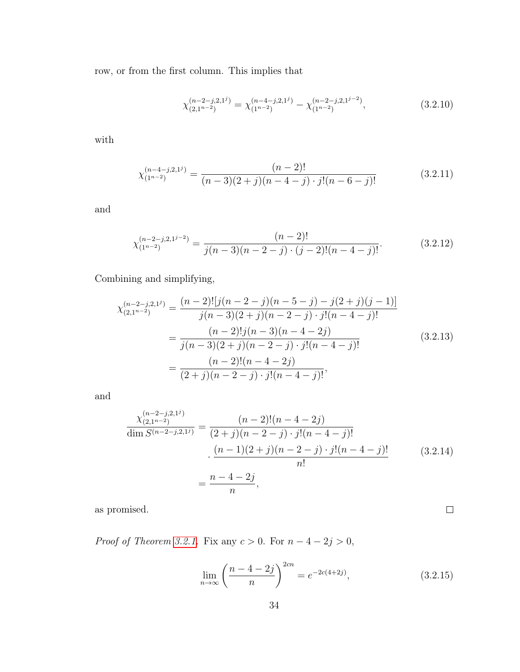row, or from the first column. This implies that

$$
\chi_{(2,1^{n-2})}^{(n-2-j,2,1^j)} = \chi_{(1^{n-2})}^{(n-4-j,2,1^j)} - \chi_{(1^{n-2})}^{(n-2-j,2,1^{j-2})},
$$
\n(3.2.10)

with

$$
\chi_{(1^{n-2})}^{(n-4-j,2,1^j)} = \frac{(n-2)!}{(n-3)(2+j)(n-4-j)\cdot j!(n-6-j)!}
$$
(3.2.11)

and

$$
\chi_{(1^{n-2})}^{(n-2-j,2,1^{j-2})} = \frac{(n-2)!}{j(n-3)(n-2-j)\cdot(j-2)!(n-4-j)!}.
$$
\n(3.2.12)

Combining and simplifying,

$$
\chi_{(2,1^{n-2})}^{(n-2-j,2,1^j)} = \frac{(n-2)![j(n-2-j)(n-5-j)-j(2+j)(j-1)]}{j(n-3)(2+j)(n-2-j)\cdot j!(n-4-j)!}
$$

$$
= \frac{(n-2)!\,j(n-3)(n-4-2j)}{j(n-3)(2+j)(n-2-j)\cdot j!(n-4-j)!}
$$
(3.2.13)
$$
= \frac{(n-2)!(n-4-2j)}{(2+j)(n-2-j)\cdot j!(n-4-j)!},
$$

and

$$
\frac{\chi_{(2,1^{n-2})}^{(n-2-j,2,1^j)}}{\dim S^{(n-2-j,2,1^j)}} = \frac{(n-2)!(n-4-2j)}{(2+j)(n-2-j)\cdot j!(n-4-j)!} \n\cdot \frac{(n-1)(2+j)(n-2-j)\cdot j!(n-4-j)!}{n!} \n= \frac{n-4-2j}{n},
$$
\n(3.2.14)

as promised.

*Proof of Theorem [3.2.1.](#page-40-1)* Fix any  $c > 0$ . For  $n - 4 - 2j > 0$ ,

$$
\lim_{n \to \infty} \left( \frac{n - 4 - 2j}{n} \right)^{2cn} = e^{-2c(4+2j)}, \tag{3.2.15}
$$

 $\Box$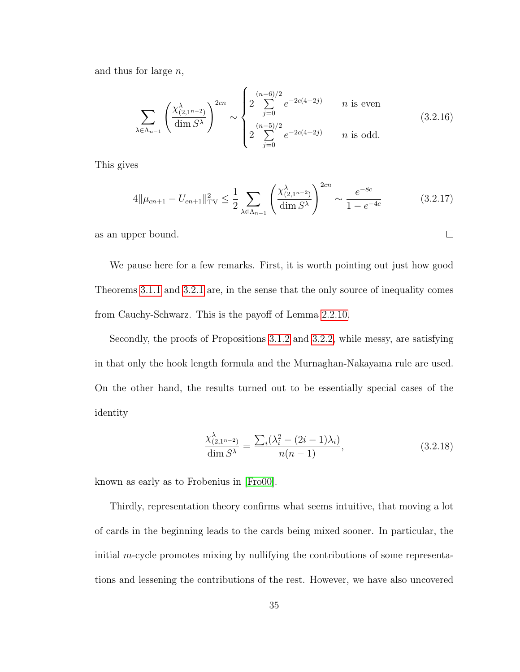and thus for large  $n$ ,

$$
\sum_{\lambda \in \Lambda_{n-1}} \left( \frac{\chi^{\lambda}_{(2,1^{n-2})}}{\dim S^{\lambda}} \right)^{2cn} \sim \begin{cases} 2 \sum_{j=0}^{(n-6)/2} e^{-2c(4+2j)} & n \text{ is even} \\ 2 \sum_{j=0}^{(n-5)/2} e^{-2c(4+2j)} & n \text{ is odd.} \end{cases} (3.2.16)
$$

This gives

$$
4\|\mu_{cn+1} - U_{cn+1}\|_{\text{TV}}^2 \le \frac{1}{2} \sum_{\lambda \in \Lambda_{n-1}} \left(\frac{\chi_{(2,1^{n-2})}^{\lambda}}{\dim S^{\lambda}}\right)^{2cn} \sim \frac{e^{-8c}}{1 - e^{-4c}} \tag{3.2.17}
$$

 $\Box$ 

as an upper bound.

We pause here for a few remarks. First, it is worth pointing out just how good Theorems [3.1.1](#page-36-0) and [3.2.1](#page-40-1) are, in the sense that the only source of inequality comes from Cauchy-Schwarz. This is the payoff of Lemma [2.2.10.](#page-25-0)

Secondly, the proofs of Propositions [3.1.2](#page-37-1) and [3.2.2,](#page-40-2) while messy, are satisfying in that only the hook length formula and the Murnaghan-Nakayama rule are used. On the other hand, the results turned out to be essentially special cases of the identity

$$
\frac{\chi^{\lambda}_{(2,1^{n-2})}}{\dim S^{\lambda}} = \frac{\sum_{i} (\lambda_i^2 - (2i - 1)\lambda_i)}{n(n-1)},
$$
\n(3.2.18)

known as early as to Frobenius in [\[Fro00\]](#page-67-0).

Thirdly, representation theory confirms what seems intuitive, that moving a lot of cards in the beginning leads to the cards being mixed sooner. In particular, the initial m-cycle promotes mixing by nullifying the contributions of some representations and lessening the contributions of the rest. However, we have also uncovered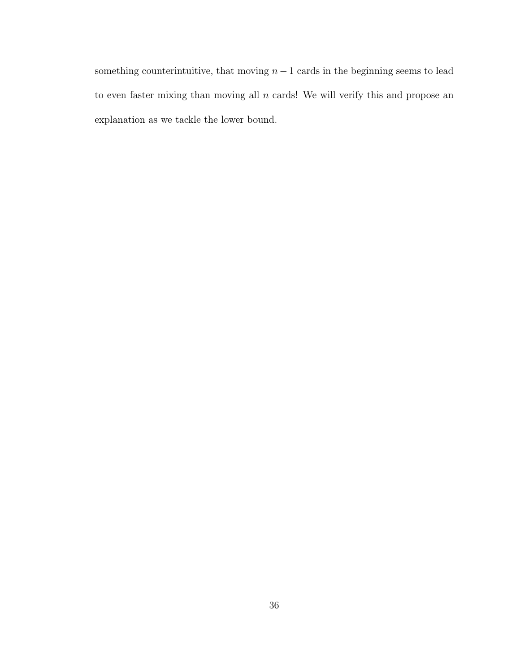something counterintuitive, that moving  $n - 1$  cards in the beginning seems to lead to even faster mixing than moving all  $n$  cards! We will verify this and propose an explanation as we tackle the lower bound.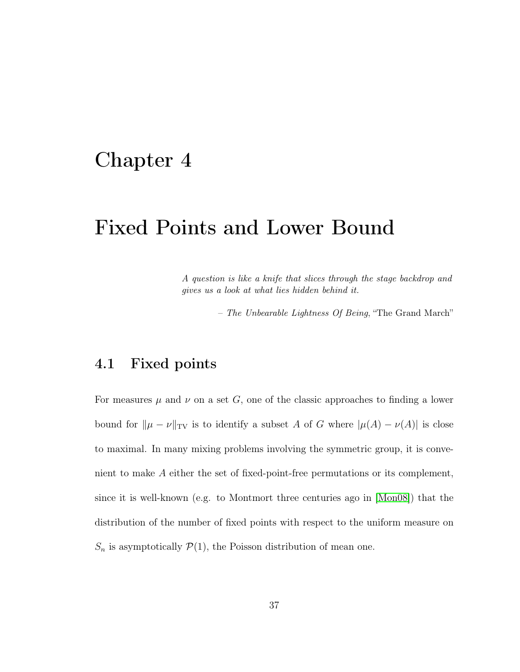# <span id="page-45-0"></span>Chapter 4

# Fixed Points and Lower Bound

A question is like a knife that slices through the stage backdrop and gives us a look at what lies hidden behind it.

– The Unbearable Lightness Of Being, "The Grand March"

### 4.1 Fixed points

For measures  $\mu$  and  $\nu$  on a set G, one of the classic approaches to finding a lower bound for  $\|\mu - \nu\|_{TV}$  is to identify a subset A of G where  $|\mu(A) - \nu(A)|$  is close to maximal. In many mixing problems involving the symmetric group, it is convenient to make A either the set of fixed-point-free permutations or its complement, since it is well-known (e.g. to Montmort three centuries ago in [\[Mon08\]](#page-68-0)) that the distribution of the number of fixed points with respect to the uniform measure on  $S_n$  is asymptotically  $\mathcal{P}(1)$ , the Poisson distribution of mean one.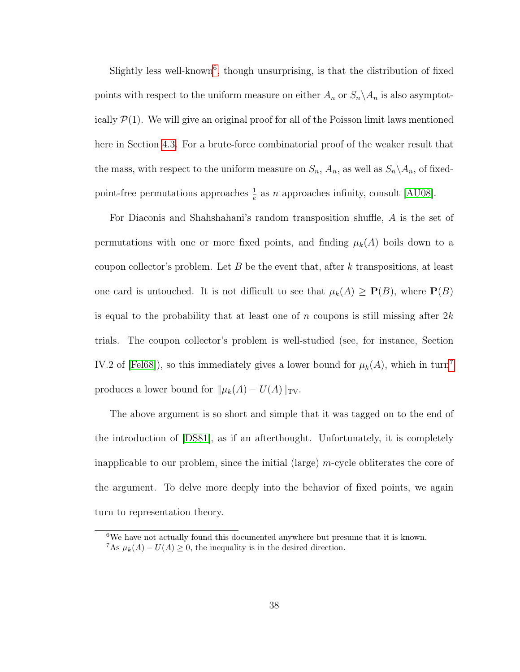Slightly less well-known<sup>[6](#page-46-0)</sup>, though unsurprising, is that the distribution of fixed points with respect to the uniform measure on either  $A_n$  or  $S_n \setminus A_n$  is also asymptotically  $\mathcal{P}(1)$ . We will give an original proof for all of the Poisson limit laws mentioned here in Section [4.3.](#page-53-0) For a brute-force combinatorial proof of the weaker result that the mass, with respect to the uniform measure on  $S_n$ ,  $A_n$ , as well as  $S_n \setminus A_n$ , of fixedpoint-free permutations approaches  $\frac{1}{e}$  as n approaches infinity, consult [\[AU08\]](#page-64-0).

For Diaconis and Shahshahani's random transposition shuffle, A is the set of permutations with one or more fixed points, and finding  $\mu_k(A)$  boils down to a coupon collector's problem. Let B be the event that, after k transpositions, at least one card is untouched. It is not difficult to see that  $\mu_k(A) \geq P(B)$ , where  $P(B)$ is equal to the probability that at least one of n coupons is still missing after  $2k$ trials. The coupon collector's problem is well-studied (see, for instance, Section IV.2 of [\[Fel68\]](#page-66-0)), so this immediately gives a lower bound for  $\mu_k(A)$ , which in turn<sup>[7](#page-46-1)</sup> produces a lower bound for  $\|\mu_k(A) - U(A)\|_{TV}$ .

The above argument is so short and simple that it was tagged on to the end of the introduction of [\[DS81\]](#page-66-1), as if an afterthought. Unfortunately, it is completely inapplicable to our problem, since the initial (large) m-cycle obliterates the core of the argument. To delve more deeply into the behavior of fixed points, we again turn to representation theory.

<span id="page-46-1"></span><span id="page-46-0"></span> $6$ We have not actually found this documented anywhere but presume that it is known. <sup>7</sup>As  $\mu_k(A) - U(A) \geq 0$ , the inequality is in the desired direction.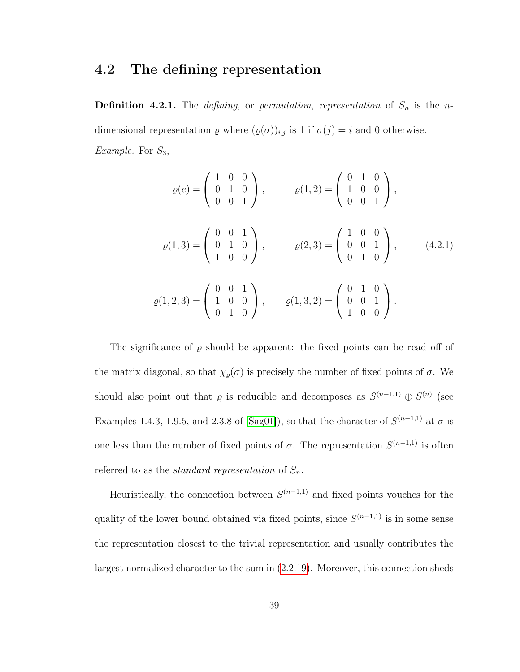#### 4.2 The defining representation

**Definition 4.2.1.** The *defining*, or *permutation*, *representation* of  $S_n$  is the *n*dimensional representation  $\varrho$  where  $(\varrho(\sigma))_{i,j}$  is 1 if  $\sigma(j) = i$  and 0 otherwise. *Example.* For  $S_3$ ,

$$
\varrho(e) = \begin{pmatrix} 1 & 0 & 0 \\ 0 & 1 & 0 \\ 0 & 0 & 1 \end{pmatrix}, \qquad \varrho(1,2) = \begin{pmatrix} 0 & 1 & 0 \\ 1 & 0 & 0 \\ 0 & 0 & 1 \end{pmatrix},
$$

$$
\varrho(1,3) = \begin{pmatrix} 0 & 0 & 1 \\ 0 & 1 & 0 \\ 1 & 0 & 0 \end{pmatrix}, \qquad \varrho(2,3) = \begin{pmatrix} 1 & 0 & 0 \\ 0 & 0 & 1 \\ 0 & 1 & 0 \end{pmatrix}, \qquad (4.2.1)
$$

$$
\varrho(1,2,3) = \begin{pmatrix} 0 & 0 & 1 \\ 1 & 0 & 0 \\ 0 & 1 & 0 \end{pmatrix}, \qquad \varrho(1,3,2) = \begin{pmatrix} 0 & 1 & 0 \\ 0 & 0 & 1 \\ 1 & 0 & 0 \end{pmatrix}.
$$

The significance of  $\varrho$  should be apparent: the fixed points can be read off of the matrix diagonal, so that  $\chi_{\varrho}(\sigma)$  is precisely the number of fixed points of  $\sigma$ . We should also point out that  $\varrho$  is reducible and decomposes as  $S^{(n-1,1)} \oplus S^{(n)}$  (see Examples 1.4.3, 1.9.5, and 2.3.8 of [\[Sag01\]](#page-70-0)), so that the character of  $S^{(n-1,1)}$  at  $\sigma$  is one less than the number of fixed points of  $\sigma$ . The representation  $S^{(n-1,1)}$  is often referred to as the *standard representation* of  $S_n$ .

Heuristically, the connection between  $S^{(n-1,1)}$  and fixed points vouches for the quality of the lower bound obtained via fixed points, since  $S^{(n-1,1)}$  is in some sense the representation closest to the trivial representation and usually contributes the largest normalized character to the sum in [\(2.2.19\)](#page-28-0). Moreover, this connection sheds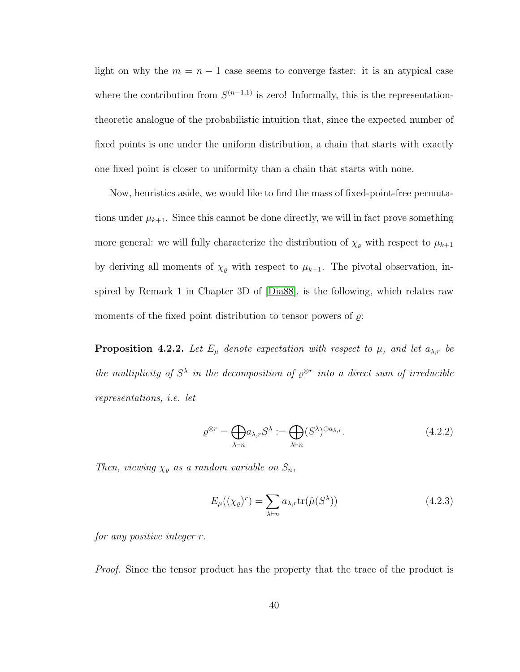light on why the  $m = n - 1$  case seems to converge faster: it is an atypical case where the contribution from  $S^{(n-1,1)}$  is zero! Informally, this is the representationtheoretic analogue of the probabilistic intuition that, since the expected number of fixed points is one under the uniform distribution, a chain that starts with exactly one fixed point is closer to uniformity than a chain that starts with none.

Now, heuristics aside, we would like to find the mass of fixed-point-free permutations under  $\mu_{k+1}$ . Since this cannot be done directly, we will in fact prove something more general: we will fully characterize the distribution of  $\chi_{\varrho}$  with respect to  $\mu_{k+1}$ by deriving all moments of  $\chi_{\varrho}$  with respect to  $\mu_{k+1}$ . The pivotal observation, inspired by Remark 1 in Chapter 3D of [\[Dia88\]](#page-65-0), is the following, which relates raw moments of the fixed point distribution to tensor powers of  $\rho$ :

<span id="page-48-0"></span>**Proposition 4.2.2.** Let  $E_{\mu}$  denote expectation with respect to  $\mu$ , and let  $a_{\lambda,r}$  be the multiplicity of  $S^{\lambda}$  in the decomposition of  $\varrho^{\otimes r}$  into a direct sum of irreducible representations, i.e. let

$$
\varrho^{\otimes r} = \bigoplus_{\lambda \vdash n} a_{\lambda,r} S^{\lambda} := \bigoplus_{\lambda \vdash n} (S^{\lambda})^{\oplus a_{\lambda,r}}.
$$
\n(4.2.2)

Then, viewing  $\chi_{\varrho}$  as a random variable on  $S_n$ ,

$$
E_{\mu}((\chi_{\varrho})^r) = \sum_{\lambda \vdash n} a_{\lambda,r} \text{tr}(\hat{\mu}(S^{\lambda}))
$$
\n(4.2.3)

for any positive integer r.

Proof. Since the tensor product has the property that the trace of the product is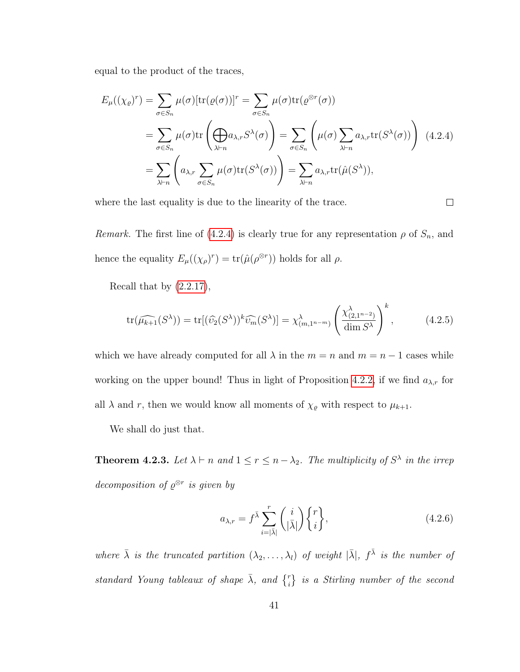equal to the product of the traces,

<span id="page-49-0"></span>
$$
E_{\mu}((\chi_{\varrho})^{r}) = \sum_{\sigma \in S_{n}} \mu(\sigma) [\text{tr}(\varrho(\sigma))]^{r} = \sum_{\sigma \in S_{n}} \mu(\sigma) \text{tr}(\varrho^{\otimes r}(\sigma))
$$
  
= 
$$
\sum_{\sigma \in S_{n}} \mu(\sigma) \text{tr} \left( \bigoplus_{\lambda \vdash n} a_{\lambda,r} S^{\lambda}(\sigma) \right) = \sum_{\sigma \in S_{n}} \left( \mu(\sigma) \sum_{\lambda \vdash n} a_{\lambda,r} \text{tr}(S^{\lambda}(\sigma)) \right) (4.2.4)
$$
  
= 
$$
\sum_{\lambda \vdash n} \left( a_{\lambda,r} \sum_{\sigma \in S_{n}} \mu(\sigma) \text{tr}(S^{\lambda}(\sigma)) \right) = \sum_{\lambda \vdash n} a_{\lambda,r} \text{tr}(\hat{\mu}(S^{\lambda})),
$$

where the last equality is due to the linearity of the trace.

 $\Box$ 

Remark. The first line of [\(4.2.4\)](#page-49-0) is clearly true for any representation  $\rho$  of  $S_n$ , and hence the equality  $E_{\mu}((\chi_{\rho})^r) = \text{tr}(\hat{\mu}(\rho^{\otimes r}))$  holds for all  $\rho$ .

Recall that by  $(2.2.17)$ ,

<span id="page-49-3"></span>
$$
\operatorname{tr}(\widehat{\mu_{k+1}}(S^{\lambda})) = \operatorname{tr}[(\widehat{\upsilon_2}}(S^{\lambda}))^k \widehat{\upsilon_m}(S^{\lambda})] = \chi^{\lambda}_{(m,1^{n-m})} \left(\frac{\chi^{\lambda}_{(2,1^{n-2})}}{\dim S^{\lambda}}\right)^k, \tag{4.2.5}
$$

which we have already computed for all  $\lambda$  in the  $m = n$  and  $m = n - 1$  cases while working on the upper bound! Thus in light of Proposition [4.2.2,](#page-48-0) if we find  $a_{\lambda,r}$  for all  $\lambda$  and r, then we would know all moments of  $\chi_{\varrho}$  with respect to  $\mu_{k+1}$ .

We shall do just that.

<span id="page-49-2"></span>**Theorem 4.2.3.** Let  $\lambda \vdash n$  and  $1 \leq r \leq n - \lambda_2$ . The multiplicity of  $S^{\lambda}$  in the irrep decomposition of  $\varrho^{\otimes r}$  is given by

<span id="page-49-1"></span>
$$
a_{\lambda,r} = f^{\bar{\lambda}} \sum_{i=|\bar{\lambda}|}^{r} \binom{i}{|\bar{\lambda}|} \begin{Bmatrix} r \\ i \end{Bmatrix},\tag{4.2.6}
$$

where  $\bar{\lambda}$  is the truncated partition  $(\lambda_2, \ldots, \lambda_l)$  of weight  $|\bar{\lambda}|$ ,  $f^{\bar{\lambda}}$  is the number of standard Young tableaux of shape  $\bar{\lambda}$ , and  $\{^r_i\}$  is a Stirling number of the second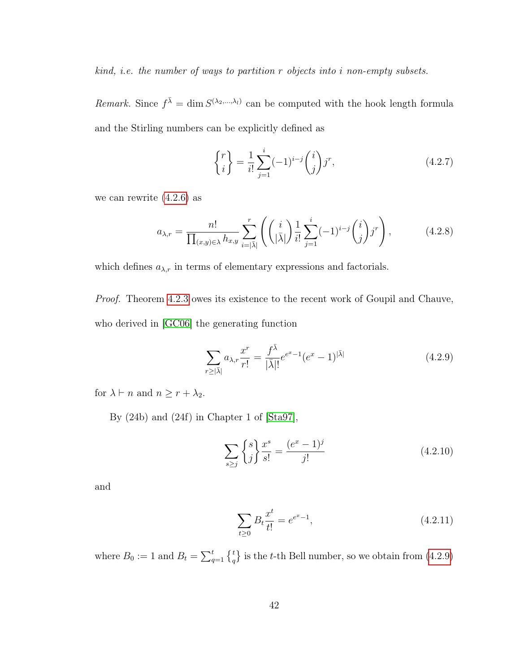kind, i.e. the number of ways to partition r objects into i non-empty subsets.

Remark. Since  $f^{\bar{\lambda}} = \dim S^{(\lambda_2, ..., \lambda_l)}$  can be computed with the hook length formula and the Stirling numbers can be explicitly defined as

$$
\begin{Bmatrix} r \\ i \end{Bmatrix} = \frac{1}{i!} \sum_{j=1}^{i} (-1)^{i-j} \binom{i}{j} j^r,
$$
\n(4.2.7)

we can rewrite  $(4.2.6)$  as

$$
a_{\lambda,r} = \frac{n!}{\prod_{(x,y)\in\lambda}h_{x,y}} \sum_{i=|\bar{\lambda}|}^{r} \left( \binom{i}{|\bar{\lambda}|} \frac{1}{i!} \sum_{j=1}^{i} (-1)^{i-j} \binom{i}{j} j^{r} \right), \tag{4.2.8}
$$

which defines  $a_{\lambda,r}$  in terms of elementary expressions and factorials.

Proof. Theorem [4.2.3](#page-49-2) owes its existence to the recent work of Goupil and Chauve, who derived in [\[GC06\]](#page-67-1) the generating function

<span id="page-50-0"></span>
$$
\sum_{r \ge |\bar{\lambda}|} a_{\lambda,r} \frac{x^r}{r!} = \frac{f^{\bar{\lambda}}}{|\bar{\lambda}|!} e^{e^x - 1} (e^x - 1)^{|\bar{\lambda}|}
$$
(4.2.9)

for  $\lambda \vdash n$  and  $n \geq r + \lambda_2$ .

By (24b) and (24f) in Chapter 1 of [\[Sta97\]](#page-70-1),

$$
\sum_{s \ge j} \begin{Bmatrix} s \\ j \end{Bmatrix} \frac{x^s}{s!} = \frac{(e^x - 1)^j}{j!}
$$
 (4.2.10)

and

<span id="page-50-1"></span>
$$
\sum_{t\geq 0} B_t \frac{x^t}{t!} = e^{e^x - 1},\tag{4.2.11}
$$

where  $B_0 := 1$  and  $B_t = \sum_{q=1}^t \begin{Bmatrix} t \\ q \end{Bmatrix}$  is the t-th Bell number, so we obtain from [\(4.2.9\)](#page-50-0)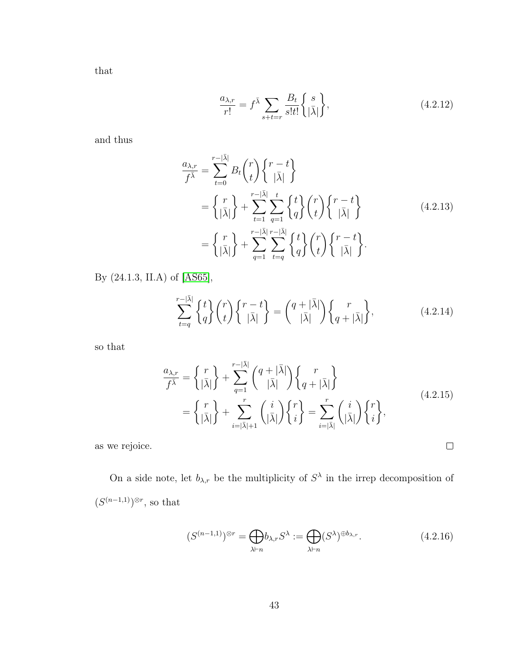that

$$
\frac{a_{\lambda,r}}{r!} = f^{\bar{\lambda}} \sum_{s+t=r} \frac{B_t}{s!t!} \left\{ \frac{s}{|\bar{\lambda}|} \right\},\tag{4.2.12}
$$

and thus

$$
\frac{a_{\lambda,r}}{f^{\overline{\lambda}}} = \sum_{t=0}^{r-|\overline{\lambda}|} B_t \binom{r}{t} \binom{r-t}{|\overline{\lambda}|} \n= \left\{ \frac{r}{|\overline{\lambda}|} \right\} + \sum_{t=1}^{r-|\overline{\lambda}|} \sum_{q=1}^{t} \left\{ \frac{t}{q} \right\} \binom{r}{t} \left\{ \frac{r-t}{|\overline{\lambda}|} \right\} \n= \left\{ \frac{r}{|\overline{\lambda}|} \right\} + \sum_{q=1}^{r-|\overline{\lambda}|} \sum_{t=q}^{r-|\overline{\lambda}|} \left\{ \frac{t}{q} \right\} \binom{r}{t} \left\{ \frac{r-t}{|\overline{\lambda}|} \right\}.
$$
\n(4.2.13)

By (24.1.3, II.A) of [\[AS65\]](#page-64-1),

$$
\sum_{t=q}^{r-|\bar{\lambda}|} \begin{Bmatrix} t \\ q \end{Bmatrix} \binom{r}{t} \begin{Bmatrix} r-t \\ |\bar{\lambda}| \end{Bmatrix} = \binom{q+|\bar{\lambda}|}{|\bar{\lambda}|} \begin{Bmatrix} r \\ q+|\bar{\lambda}| \end{Bmatrix},\tag{4.2.14}
$$

so that

$$
\frac{a_{\lambda,r}}{f^{\bar{\lambda}}} = \left\{ \frac{r}{|\bar{\lambda}|} \right\} + \sum_{q=1}^{r-|\bar{\lambda}|} \binom{q+|\bar{\lambda}|}{|\bar{\lambda}|} \left\{ \frac{r}{q+|\bar{\lambda}|} \right\}
$$
\n
$$
= \left\{ \frac{r}{|\bar{\lambda}|} \right\} + \sum_{i=|\bar{\lambda}|+1}^{r} \binom{i}{|\bar{\lambda}|} \left\{ \frac{r}{i} \right\} = \sum_{i=|\bar{\lambda}|}^{r} \binom{i}{|\bar{\lambda}|} \left\{ \frac{r}{i} \right\},
$$
\n(4.2.15)

as we rejoice.

On a side note, let  $b_{\lambda,r}$  be the multiplicity of  $S^{\lambda}$  in the irrep decomposition of  $(S^{(n-1,1)})^{\otimes r}$ , so that

$$
(S^{(n-1,1)})^{\otimes r} = \bigoplus_{\lambda \vdash n} b_{\lambda,r} S^{\lambda} := \bigoplus_{\lambda \vdash n} (S^{\lambda})^{\oplus b_{\lambda,r}}.
$$
\n(4.2.16)

 $\Box$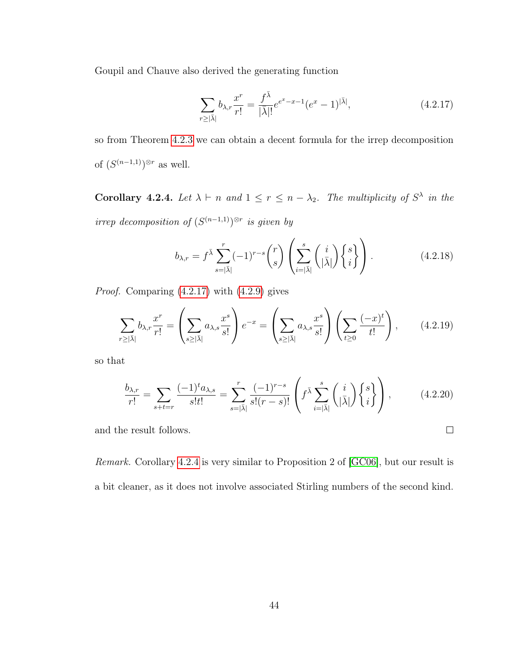Goupil and Chauve also derived the generating function

<span id="page-52-0"></span>
$$
\sum_{r \ge |\bar{\lambda}|} b_{\lambda,r} \frac{x^r}{r!} = \frac{f^{\bar{\lambda}}}{|\bar{\lambda}|!} e^{e^x - x - 1} (e^x - 1)^{|\bar{\lambda}|}, \tag{4.2.17}
$$

so from Theorem [4.2.3](#page-49-2) we can obtain a decent formula for the irrep decomposition of  $(S^{(n-1,1)})^{\otimes r}$  as well.

<span id="page-52-1"></span>**Corollary 4.2.4.** Let  $\lambda \vdash n$  and  $1 \leq r \leq n - \lambda_2$ . The multiplicity of  $S^{\lambda}$  in the irrep decomposition of  $(S^{(n-1,1)})^{\otimes r}$  is given by

$$
b_{\lambda,r} = f^{\bar{\lambda}} \sum_{s=|\bar{\lambda}|}^{r} (-1)^{r-s} {r \choose s} \left( \sum_{i=|\bar{\lambda}|}^{s} {i \choose |\bar{\lambda}|} \begin{Bmatrix} s \\ i \end{Bmatrix} \right).
$$
 (4.2.18)

Proof. Comparing [\(4.2.17\)](#page-52-0) with [\(4.2.9\)](#page-50-0) gives

$$
\sum_{r\geq |\bar{\lambda}|} b_{\lambda,r} \frac{x^r}{r!} = \left(\sum_{s\geq |\bar{\lambda}|} a_{\lambda,s} \frac{x^s}{s!} \right) e^{-x} = \left(\sum_{s\geq |\bar{\lambda}|} a_{\lambda,s} \frac{x^s}{s!} \right) \left(\sum_{t\geq 0} \frac{(-x)^t}{t!} \right),\qquad(4.2.19)
$$

so that

$$
\frac{b_{\lambda,r}}{r!} = \sum_{s+t=r} \frac{(-1)^t a_{\lambda,s}}{s!t!} = \sum_{s=|\bar{\lambda}|}^r \frac{(-1)^{r-s}}{s!(r-s)!} \left( f^{\bar{\lambda}} \sum_{i=|\bar{\lambda}|}^s \binom{i}{|\bar{\lambda}|} \begin{Bmatrix} s \\ i \end{Bmatrix} \right),\tag{4.2.20}
$$

 $\Box$ 

and the result follows.

Remark. Corollary [4.2.4](#page-52-1) is very similar to Proposition 2 of [\[GC06\]](#page-67-1), but our result is a bit cleaner, as it does not involve associated Stirling numbers of the second kind.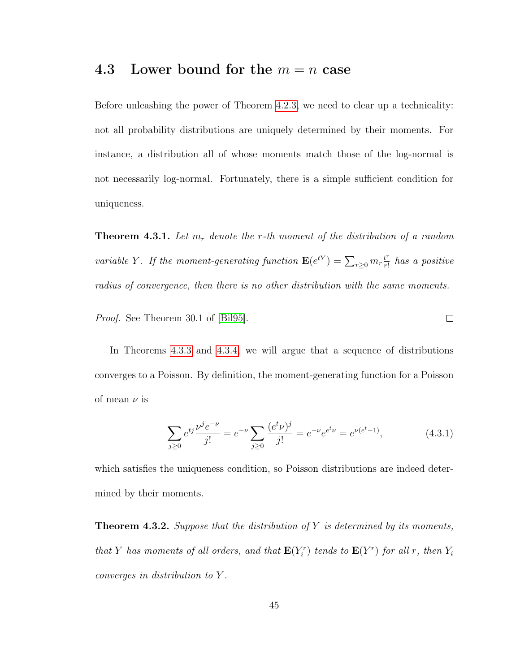#### <span id="page-53-0"></span>4.3 Lower bound for the  $m = n$  case

Before unleashing the power of Theorem [4.2.3,](#page-49-2) we need to clear up a technicality: not all probability distributions are uniquely determined by their moments. For instance, a distribution all of whose moments match those of the log-normal is not necessarily log-normal. Fortunately, there is a simple sufficient condition for uniqueness.

**Theorem 4.3.1.** Let  $m_r$  denote the r-th moment of the distribution of a random variable Y. If the moment-generating function  $\mathbf{E}(e^{tY}) = \sum_{r\geq 0} m_r \frac{t^r}{r!}$  $\frac{t^r}{r!}$  has a positive radius of convergence, then there is no other distribution with the same moments.

Proof. See Theorem 30.1 of [\[Bil95\]](#page-65-1).

In Theorems [4.3.3](#page-54-0) and [4.3.4,](#page-55-0) we will argue that a sequence of distributions converges to a Poisson. By definition, the moment-generating function for a Poisson of mean  $\nu$  is

<span id="page-53-1"></span>
$$
\sum_{j\geq 0} e^{tj} \frac{\nu^j e^{-\nu}}{j!} = e^{-\nu} \sum_{j\geq 0} \frac{(e^t \nu)^j}{j!} = e^{-\nu} e^{e^t \nu} = e^{\nu(e^t - 1)},\tag{4.3.1}
$$

 $\Box$ 

which satisfies the uniqueness condition, so Poisson distributions are indeed determined by their moments.

<span id="page-53-2"></span>**Theorem 4.3.2.** Suppose that the distribution of Y is determined by its moments, that Y has moments of all orders, and that  $\mathbf{E}(Y_i^r)$  tends to  $\mathbf{E}(Y^r)$  for all r, then  $Y_i$ converges in distribution to Y .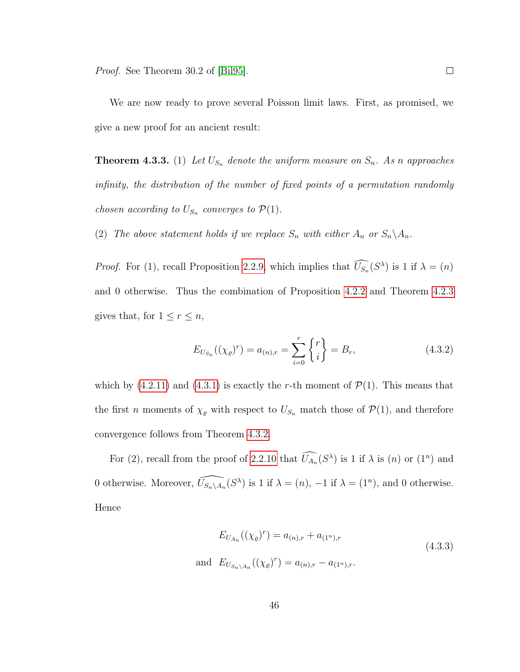We are now ready to prove several Poisson limit laws. First, as promised, we give a new proof for an ancient result:

<span id="page-54-0"></span>**Theorem 4.3.3.** (1) Let  $U_{S_n}$  denote the uniform measure on  $S_n$ . As n approaches infinity, the distribution of the number of fixed points of a permutation randomly *chosen according to*  $U_{S_n}$  *converges to*  $\mathcal{P}(1)$ *.* 

(2) The above statement holds if we replace  $S_n$  with either  $A_n$  or  $S_n \backslash A_n$ .

*Proof.* For (1), recall Proposition [2.2.9,](#page-23-0) which implies that  $\widehat{U_{S_n}}(S^{\lambda})$  is 1 if  $\lambda = (n)$ and 0 otherwise. Thus the combination of Proposition [4.2.2](#page-48-0) and Theorem [4.2.3](#page-49-2) gives that, for  $1 \leq r \leq n$ ,

$$
E_{U_{S_n}}((\chi_{\varrho})^r) = a_{(n),r} = \sum_{i=0}^r \begin{Bmatrix} r \\ i \end{Bmatrix} = B_r, \qquad (4.3.2)
$$

which by  $(4.2.11)$  and  $(4.3.1)$  is exactly the r-th moment of  $\mathcal{P}(1)$ . This means that the first *n* moments of  $\chi_{\varrho}$  with respect to  $U_{S_n}$  match those of  $\mathcal{P}(1)$ , and therefore convergence follows from Theorem [4.3.2.](#page-53-2)

For (2), recall from the proof of [2.2.10](#page-25-0) that  $\widehat{U_{A_n}(S^{\lambda})}$  is 1 if  $\lambda$  is (*n*) or (1<sup>*n*</sup>) and 0 otherwise. Moreover,  $\widehat{U_{S_n\setminus A_n}}(S^{\lambda})$  is 1 if  $\lambda = (n)$ ,  $-1$  if  $\lambda = (1^n)$ , and 0 otherwise. Hence

$$
E_{U_{A_n}}((\chi_{\varrho})^r) = a_{(n),r} + a_{(1^n),r}
$$
  
and 
$$
E_{U_{S_n \setminus A_n}}((\chi_{\varrho})^r) = a_{(n),r} - a_{(1^n),r}.
$$
 (4.3.3)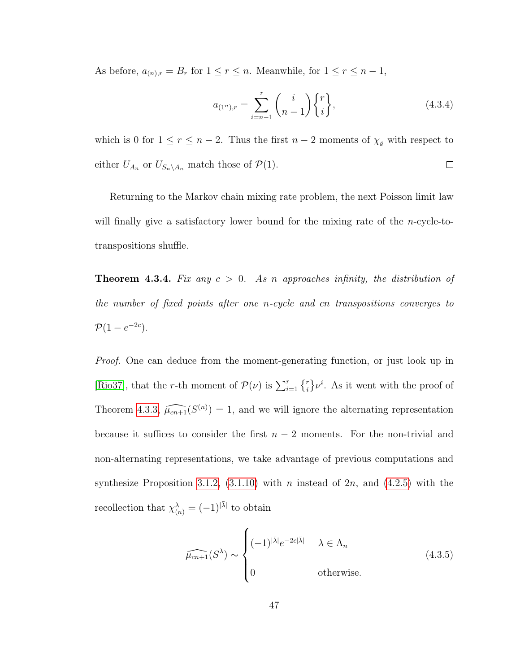As before,  $a_{(n),r} = B_r$  for  $1 \le r \le n$ . Meanwhile, for  $1 \le r \le n - 1$ ,

$$
a_{(1^n),r} = \sum_{i=n-1}^r \binom{i}{n-1} \begin{Bmatrix} r \\ i \end{Bmatrix},\tag{4.3.4}
$$

which is 0 for  $1 \le r \le n-2$ . Thus the first  $n-2$  moments of  $\chi_{\varrho}$  with respect to either  $U_{A_n}$  or  $U_{S_n\setminus A_n}$  match those of  $\mathcal{P}(1)$ .  $\Box$ 

Returning to the Markov chain mixing rate problem, the next Poisson limit law will finally give a satisfactory lower bound for the mixing rate of the *n*-cycle-totranspositions shuffle.

<span id="page-55-0"></span>**Theorem 4.3.4.** Fix any  $c > 0$ . As n approaches infinity, the distribution of the number of fixed points after one n-cycle and cn transpositions converges to  $\mathcal{P}(1-e^{-2c}).$ 

*Proof.* One can deduce from the moment-generating function, or just look up in [\[Rio37\]](#page-69-0), that the r-th moment of  $\mathcal{P}(\nu)$  is  $\sum_{i=1}^r \{r_i\} \nu^i$ . As it went with the proof of Theorem [4.3.3,](#page-54-0)  $\widehat{\mu_{cn+1}}(S^{(n)}) = 1$ , and we will ignore the alternating representation because it suffices to consider the first  $n-2$  moments. For the non-trivial and non-alternating representations, we take advantage of previous computations and synthesize Proposition [3.1.2,](#page-37-1) [\(3.1.10\)](#page-39-0) with n instead of  $2n$ , and [\(4.2.5\)](#page-49-3) with the recollection that  $\chi^{\lambda}_{(n)} = (-1)^{|\bar{\lambda}|}$  to obtain

<span id="page-55-1"></span>
$$
\widehat{\mu_{cn+1}}(S^{\lambda}) \sim \begin{cases}\n(-1)^{|\bar{\lambda}|}e^{-2c|\bar{\lambda}|} & \lambda \in \Lambda_n \\
0 & \text{otherwise.} \n\end{cases}
$$
\n(4.3.5)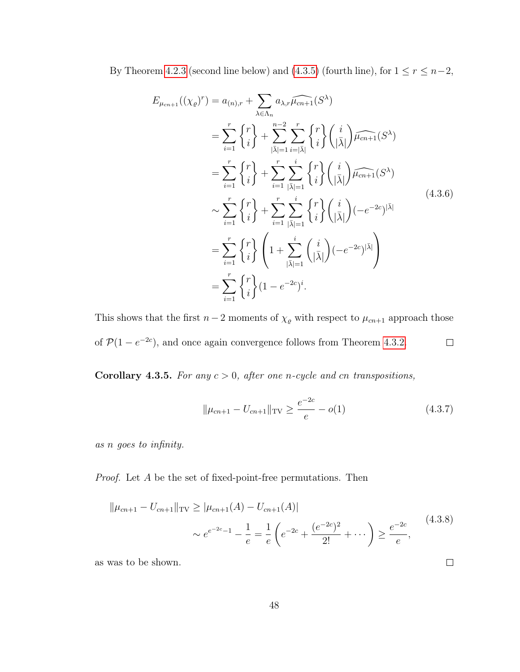By Theorem [4.2.3](#page-49-2) (second line below) and [\(4.3.5\)](#page-55-1) (fourth line), for  $1 \leq r \leq n-2$ ,

$$
E_{\mu_{cn+1}}((\chi_{\varrho})^r) = a_{(n),r} + \sum_{\lambda \in \Lambda_n} a_{\lambda,r} \widehat{\mu_{cn+1}}(S^{\lambda})
$$
  
\n
$$
= \sum_{i=1}^r \left\{ \begin{matrix} r \\ i \end{matrix} \right\} + \sum_{|\bar{\lambda}|=1}^{n-2} \sum_{i=|\bar{\lambda}|}^r \left\{ \begin{matrix} r \\ i \end{matrix} \right\} \widehat{\mu_{cn+1}}(S^{\lambda})
$$
  
\n
$$
= \sum_{i=1}^r \left\{ \begin{matrix} r \\ i \end{matrix} \right\} + \sum_{i=1}^r \sum_{|\bar{\lambda}|=1}^i \left\{ \begin{matrix} r \\ i \end{matrix} \right\} \widehat{\mu_{cn+1}}(S^{\lambda})
$$
  
\n
$$
\sim \sum_{i=1}^r \left\{ \begin{matrix} r \\ i \end{matrix} \right\} + \sum_{i=1}^r \sum_{|\bar{\lambda}|=1}^i \left\{ \begin{matrix} r \\ i \end{matrix} \right\} \left( \frac{i}{|\bar{\lambda}|} \right) (-e^{-2c})^{|\bar{\lambda}|}
$$
  
\n
$$
= \sum_{i=1}^r \left\{ \begin{matrix} r \\ i \end{matrix} \right\} \left( 1 + \sum_{|\bar{\lambda}|=1}^i \left( \frac{i}{|\bar{\lambda}|} \right) (-e^{-2c})^{|\bar{\lambda}|}
$$
  
\n
$$
= \sum_{i=1}^r \left\{ \begin{matrix} r \\ i \end{matrix} \right\} (1 - e^{-2c})^i.
$$
  
\n(4.3.6)

This shows that the first  $n-2$  moments of  $\chi_{\varrho}$  with respect to  $\mu_{cn+1}$  approach those of  $\mathcal{P}(1-e^{-2c})$ , and once again convergence follows from Theorem [4.3.2.](#page-53-2)  $\Box$ 

<span id="page-56-0"></span>Corollary 4.3.5. For any  $c > 0$ , after one n-cycle and cn transpositions,

$$
\|\mu_{cn+1} - U_{cn+1}\|_{\text{TV}} \ge \frac{e^{-2c}}{e} - o(1) \tag{4.3.7}
$$

 $\Box$ 

as n goes to infinity.

Proof. Let A be the set of fixed-point-free permutations. Then

$$
\|\mu_{cn+1} - U_{cn+1}\|_{\text{TV}} \ge |\mu_{cn+1}(A) - U_{cn+1}(A)|
$$
  
 
$$
\sim e^{e^{-2c} - 1} - \frac{1}{e} = \frac{1}{e} \left( e^{-2c} + \frac{(e^{-2c})^2}{2!} + \dots \right) \ge \frac{e^{-2c}}{e},
$$
 (4.3.8)

as was to be shown.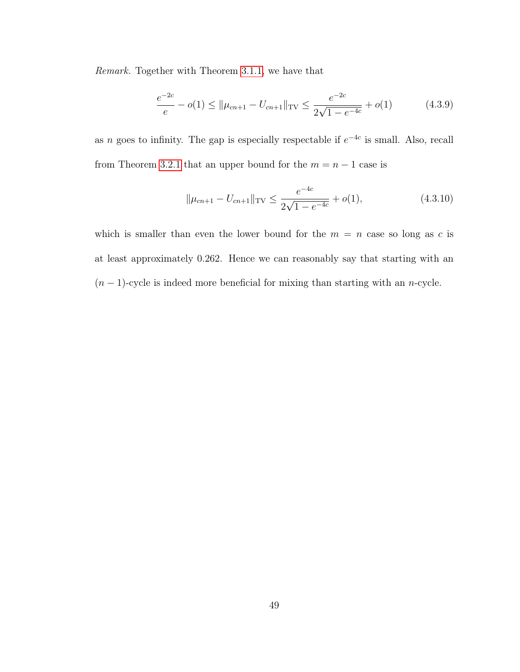Remark. Together with Theorem [3.1.1,](#page-36-0) we have that

$$
\frac{e^{-2c}}{e} - o(1) \le ||\mu_{cn+1} - U_{cn+1}||_{\text{TV}} \le \frac{e^{-2c}}{2\sqrt{1 - e^{-4c}}} + o(1) \tag{4.3.9}
$$

as n goes to infinity. The gap is especially respectable if  $e^{-4c}$  is small. Also, recall from Theorem [3.2.1](#page-40-1) that an upper bound for the  $m = n - 1$  case is

$$
\|\mu_{cn+1} - U_{cn+1}\|_{\text{TV}} \le \frac{e^{-4c}}{2\sqrt{1 - e^{-4c}}} + o(1),\tag{4.3.10}
$$

which is smaller than even the lower bound for the  $m = n$  case so long as c is at least approximately 0.262. Hence we can reasonably say that starting with an  $(n-1)$ -cycle is indeed more beneficial for mixing than starting with an *n*-cycle.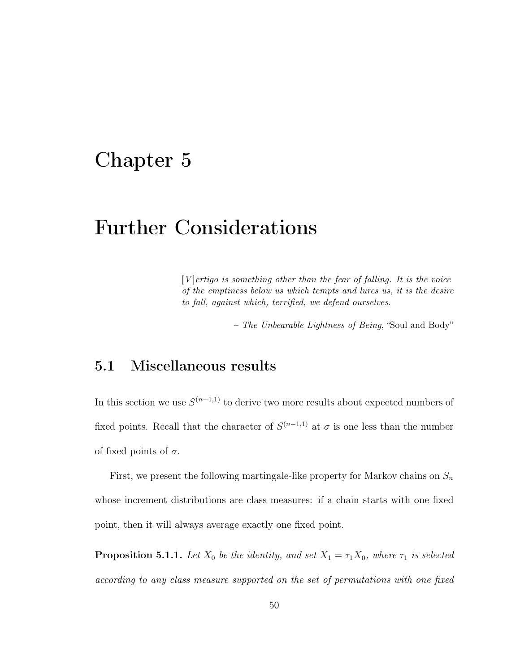### Chapter 5

# Further Considerations

 $[V]$ ertigo is something other than the fear of falling. It is the voice of the emptiness below us which tempts and lures us, it is the desire to fall, against which, terrified, we defend ourselves.

– The Unbearable Lightness of Being, "Soul and Body"

### 5.1 Miscellaneous results

In this section we use  $S^{(n-1,1)}$  to derive two more results about expected numbers of fixed points. Recall that the character of  $S^{(n-1,1)}$  at  $\sigma$  is one less than the number of fixed points of  $\sigma$ .

First, we present the following martingale-like property for Markov chains on  $S_n$ whose increment distributions are class measures: if a chain starts with one fixed point, then it will always average exactly one fixed point.

<span id="page-58-0"></span>**Proposition 5.1.1.** Let  $X_0$  be the identity, and set  $X_1 = \tau_1 X_0$ , where  $\tau_1$  is selected according to any class measure supported on the set of permutations with one fixed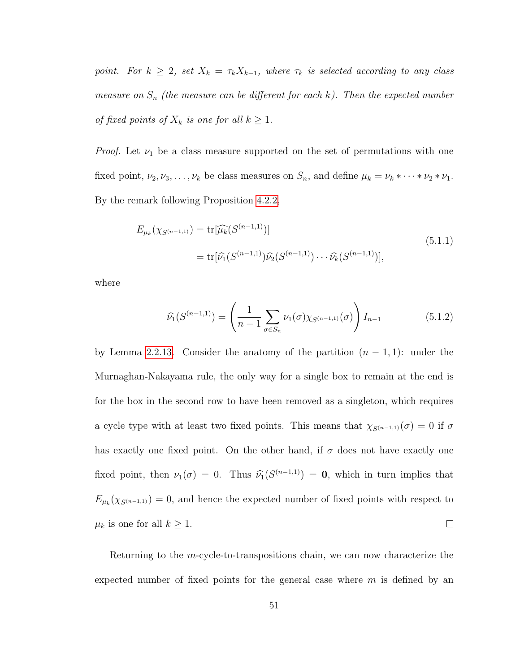point. For  $k \geq 2$ , set  $X_k = \tau_k X_{k-1}$ , where  $\tau_k$  is selected according to any class measure on  $S_n$  (the measure can be different for each k). Then the expected number of fixed points of  $X_k$  is one for all  $k \geq 1$ .

*Proof.* Let  $\nu_1$  be a class measure supported on the set of permutations with one fixed point,  $\nu_2, \nu_3, \ldots, \nu_k$  be class measures on  $S_n$ , and define  $\mu_k = \nu_k * \cdots * \nu_2 * \nu_1$ . By the remark following Proposition [4.2.2,](#page-48-0)

$$
E_{\mu_k}(\chi_{S^{(n-1,1)}}) = \text{tr}[\widehat{\mu_k}(S^{(n-1,1)})]
$$
  
= 
$$
\text{tr}[\widehat{\nu_1}(S^{(n-1,1)})\widehat{\nu_2}(S^{(n-1,1)})\cdots\widehat{\nu_k}(S^{(n-1,1)})],
$$
 (5.1.1)

where

$$
\widehat{\nu}_1(S^{(n-1,1)}) = \left(\frac{1}{n-1} \sum_{\sigma \in S_n} \nu_1(\sigma) \chi_{S^{(n-1,1)}}(\sigma)\right) I_{n-1}
$$
\n(5.1.2)

by Lemma [2.2.13.](#page-26-0) Consider the anatomy of the partition  $(n-1,1)$ : under the Murnaghan-Nakayama rule, the only way for a single box to remain at the end is for the box in the second row to have been removed as a singleton, which requires a cycle type with at least two fixed points. This means that  $\chi_{S(n-1,1)}(\sigma) = 0$  if  $\sigma$ has exactly one fixed point. On the other hand, if  $\sigma$  does not have exactly one fixed point, then  $\nu_1(\sigma) = 0$ . Thus  $\widehat{\nu}_1(S^{(n-1,1)}) = 0$ , which in turn implies that  $E_{\mu_k}(\chi_{S^{(n-1,1)}}) = 0$ , and hence the expected number of fixed points with respect to  $\Box$  $\mu_k$  is one for all  $k \geq 1$ .

Returning to the  $m$ -cycle-to-transpositions chain, we can now characterize the expected number of fixed points for the general case where  $m$  is defined by an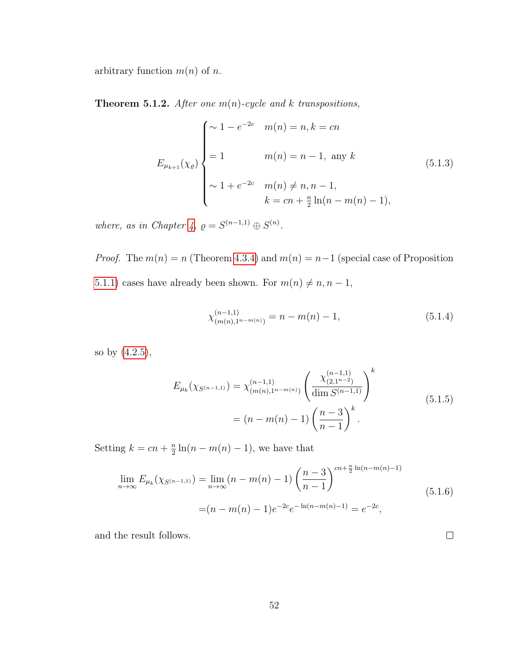<span id="page-60-0"></span>arbitrary function  $m(n)$  of n.

**Theorem 5.1.2.** After one  $m(n)$ -cycle and k transpositions,

$$
E_{\mu_{k+1}}(\chi_{\varrho})\begin{cases}\n\sim 1 - e^{-2c} & m(n) = n, k = cn \\
= 1 & m(n) = n - 1, \text{ any } k \\
\sim 1 + e^{-2c} & m(n) \neq n, n - 1, \\
k = cn + \frac{n}{2}\ln(n - m(n) - 1),\n\end{cases}
$$
\n(5.1.3)

where, as in Chapter [4,](#page-45-0)  $\rho = S^{(n-1,1)} \oplus S^{(n)}$ .

*Proof.* The  $m(n) = n$  (Theorem [4.3.4\)](#page-55-0) and  $m(n) = n-1$  (special case of Proposition [5.1.1\)](#page-58-0) cases have already been shown. For  $m(n) \neq n, n - 1$ ,

$$
\chi_{(m(n),1^{n-m(n)})}^{(n-1,1)} = n - m(n) - 1,
$$
\n(5.1.4)

 $\Box$ 

so by [\(4.2.5\)](#page-49-3),

$$
E_{\mu_k}(\chi_{S^{(n-1,1)}}) = \chi_{(m(n),1^{n-m(n)})}^{(n-1,1)} \left(\frac{\chi_{(2,1^{n-2})}^{(n-1,1)}}{\dim S^{(n-1,1)}}\right)^k
$$
  
=  $(n-m(n)-1) \left(\frac{n-3}{n-1}\right)^k$ . (5.1.5)

Setting  $k = cn + \frac{n}{2}$  $\frac{n}{2}\ln(n-m(n)-1)$ , we have that

$$
\lim_{n \to \infty} E_{\mu_k}(\chi_{S^{(n-1,1)}}) = \lim_{n \to \infty} (n - m(n) - 1) \left(\frac{n-3}{n-1}\right)^{cn + \frac{n}{2} \ln(n-m(n)-1)}
$$
\n
$$
= (n - m(n) - 1)e^{-2c}e^{-\ln(n-m(n)-1)} = e^{-2c},
$$
\n(5.1.6)

and the result follows.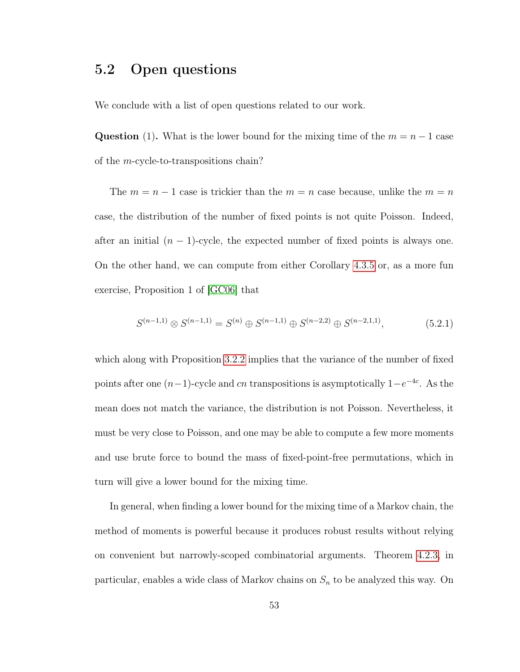### 5.2 Open questions

We conclude with a list of open questions related to our work.

Question (1). What is the lower bound for the mixing time of the  $m = n - 1$  case of the m-cycle-to-transpositions chain?

The  $m = n - 1$  case is trickier than the  $m = n$  case because, unlike the  $m = n$ case, the distribution of the number of fixed points is not quite Poisson. Indeed, after an initial  $(n - 1)$ -cycle, the expected number of fixed points is always one. On the other hand, we can compute from either Corollary [4.3.5](#page-56-0) or, as a more fun exercise, Proposition 1 of [\[GC06\]](#page-67-1) that

<span id="page-61-0"></span>
$$
S^{(n-1,1)} \otimes S^{(n-1,1)} = S^{(n)} \oplus S^{(n-1,1)} \oplus S^{(n-2,2)} \oplus S^{(n-2,1,1)}, \tag{5.2.1}
$$

which along with Proposition [3.2.2](#page-40-2) implies that the variance of the number of fixed points after one  $(n-1)$ -cycle and cn transpositions is asymptotically  $1-e^{-4c}$ . As the mean does not match the variance, the distribution is not Poisson. Nevertheless, it must be very close to Poisson, and one may be able to compute a few more moments and use brute force to bound the mass of fixed-point-free permutations, which in turn will give a lower bound for the mixing time.

In general, when finding a lower bound for the mixing time of a Markov chain, the method of moments is powerful because it produces robust results without relying on convenient but narrowly-scoped combinatorial arguments. Theorem [4.2.3,](#page-49-2) in particular, enables a wide class of Markov chains on  $S_n$  to be analyzed this way. On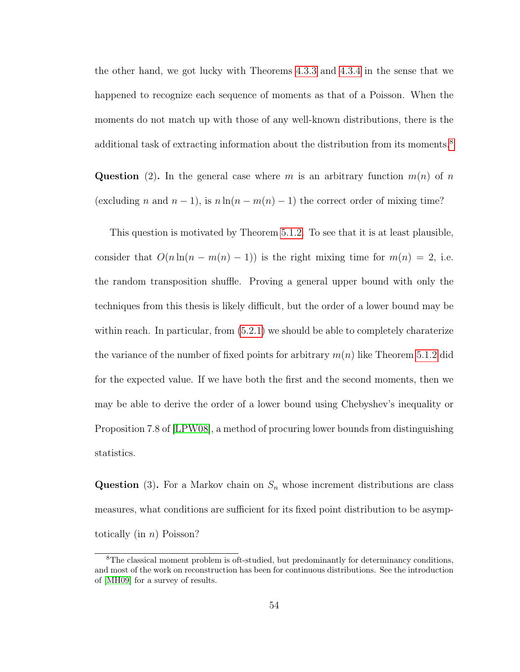the other hand, we got lucky with Theorems [4.3.3](#page-54-0) and [4.3.4](#page-55-0) in the sense that we happened to recognize each sequence of moments as that of a Poisson. When the moments do not match up with those of any well-known distributions, there is the additional task of extracting information about the distribution from its moments.<sup>[8](#page-62-0)</sup>

Question (2). In the general case where m is an arbitrary function  $m(n)$  of n (excluding n and  $n-1$ ), is  $n \ln(n-m(n)-1)$  the correct order of mixing time?

This question is motivated by Theorem [5.1.2.](#page-60-0) To see that it is at least plausible, consider that  $O(n \ln(n - m(n) - 1))$  is the right mixing time for  $m(n) = 2$ , i.e. the random transposition shuffle. Proving a general upper bound with only the techniques from this thesis is likely difficult, but the order of a lower bound may be within reach. In particular, from [\(5.2.1\)](#page-61-0) we should be able to completely charaterize the variance of the number of fixed points for arbitrary  $m(n)$  like Theorem [5.1.2](#page-60-0) did for the expected value. If we have both the first and the second moments, then we may be able to derive the order of a lower bound using Chebyshev's inequality or Proposition 7.8 of [\[LPW08\]](#page-68-1), a method of procuring lower bounds from distinguishing statistics.

**Question** (3). For a Markov chain on  $S_n$  whose increment distributions are class measures, what conditions are sufficient for its fixed point distribution to be asymptotically (in  $n$ ) Poisson?

<span id="page-62-0"></span><sup>8</sup>The classical moment problem is oft-studied, but predominantly for determinancy conditions, and most of the work on reconstruction has been for continuous distributions. See the introduction of [\[MH09\]](#page-68-2) for a survey of results.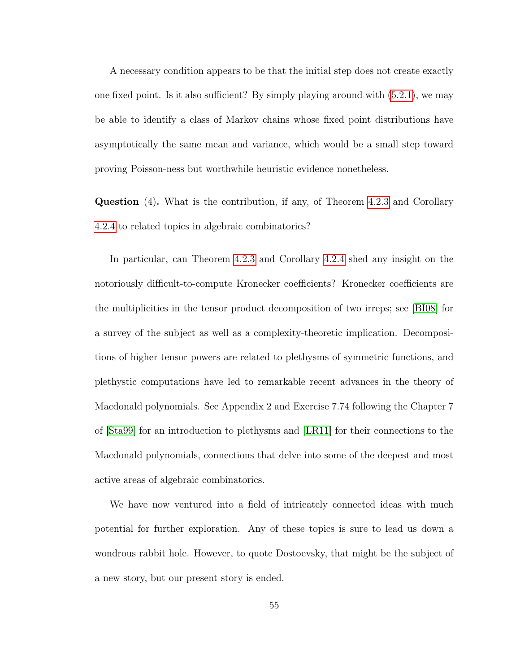A necessary condition appears to be that the initial step does not create exactly one fixed point. Is it also sufficient? By simply playing around with [\(5.2.1\)](#page-61-0), we may be able to identify a class of Markov chains whose fixed point distributions have asymptotically the same mean and variance, which would be a small step toward proving Poisson-ness but worthwhile heuristic evidence nonetheless.

Question (4). What is the contribution, if any, of Theorem [4.2.3](#page-49-2) and Corollary [4.2.4](#page-52-1) to related topics in algebraic combinatorics?

In particular, can Theorem [4.2.3](#page-49-2) and Corollary [4.2.4](#page-52-1) shed any insight on the notoriously difficult-to-compute Kronecker coefficients? Kronecker coefficients are the multiplicities in the tensor product decomposition of two irreps; see [\[BI08\]](#page-65-2) for a survey of the subject as well as a complexity-theoretic implication. Decompositions of higher tensor powers are related to plethysms of symmetric functions, and plethystic computations have led to remarkable recent advances in the theory of Macdonald polynomials. See Appendix 2 and Exercise 7.74 following the Chapter 7 of [\[Sta99\]](#page-70-2) for an introduction to plethysms and [\[LR11\]](#page-68-3) for their connections to the Macdonald polynomials, connections that delve into some of the deepest and most active areas of algebraic combinatorics.

We have now ventured into a field of intricately connected ideas with much potential for further exploration. Any of these topics is sure to lead us down a wondrous rabbit hole. However, to quote Dostoevsky, that might be the subject of a new story, but our present story is ended.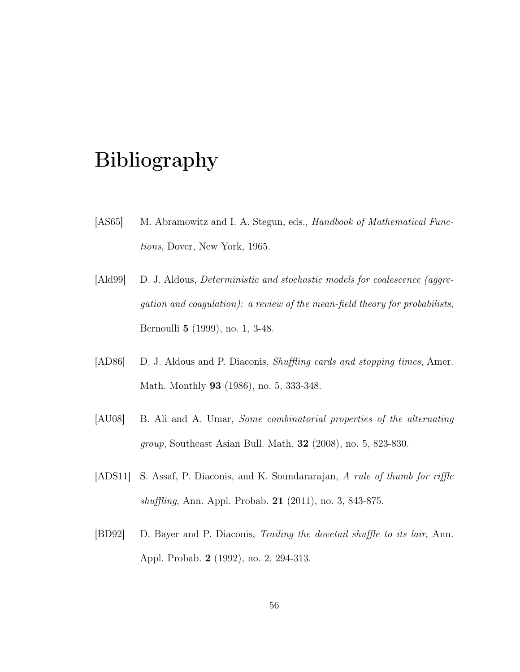# Bibliography

- <span id="page-64-1"></span>[AS65] M. Abramowitz and I. A. Stegun, eds., *Handbook of Mathematical Func*tions, Dover, New York, 1965.
- [Ald99] D. J. Aldous, *Deterministic and stochastic models for coalescence (aggre*gation and coagulation): a review of the mean-field theory for probabilists, Bernoulli 5 (1999), no. 1, 3-48.
- [AD86] D. J. Aldous and P. Diaconis, *Shuffling cards and stopping times*, Amer. Math. Monthly 93 (1986), no. 5, 333-348.
- <span id="page-64-0"></span>[AU08] B. Ali and A. Umar, Some combinatorial properties of the alternating group, Southeast Asian Bull. Math. 32 (2008), no. 5, 823-830.
- [ADS11] S. Assaf, P. Diaconis, and K. Soundararajan, A rule of thumb for riffle shuffling, Ann. Appl. Probab. 21 (2011), no. 3, 843-875.
- [BD92] D. Bayer and P. Diaconis, Trailing the dovetail shuffle to its lair, Ann. Appl. Probab. 2 (1992), no. 2, 294-313.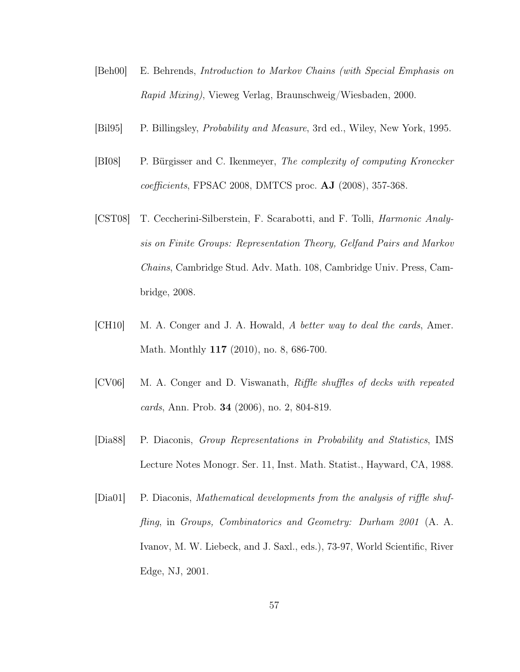- [Beh00] E. Behrends, Introduction to Markov Chains (with Special Emphasis on Rapid Mixing), Vieweg Verlag, Braunschweig/Wiesbaden, 2000.
- <span id="page-65-2"></span><span id="page-65-1"></span>[Bil95] P. Billingsley, Probability and Measure, 3rd ed., Wiley, New York, 1995.
- [BI08] P. Bürgisser and C. Ikenmeyer, The complexity of computing Kronecker coefficients, FPSAC 2008, DMTCS proc. AJ (2008), 357-368.
- [CST08] T. Ceccherini-Silberstein, F. Scarabotti, and F. Tolli, Harmonic Analysis on Finite Groups: Representation Theory, Gelfand Pairs and Markov Chains, Cambridge Stud. Adv. Math. 108, Cambridge Univ. Press, Cambridge, 2008.
- [CH10] M. A. Conger and J. A. Howald, A better way to deal the cards, Amer. Math. Monthly 117 (2010), no. 8, 686-700.
- [CV06] M. A. Conger and D. Viswanath, Riffle shuffles of decks with repeated cards, Ann. Prob. 34 (2006), no. 2, 804-819.
- <span id="page-65-0"></span>[Dia88] P. Diaconis, Group Representations in Probability and Statistics, IMS Lecture Notes Monogr. Ser. 11, Inst. Math. Statist., Hayward, CA, 1988.
- [Dia01] P. Diaconis, Mathematical developments from the analysis of riffle shuffling, in Groups, Combinatorics and Geometry: Durham 2001 (A. A. Ivanov, M. W. Liebeck, and J. Saxl., eds.), 73-97, World Scientific, River Edge, NJ, 2001.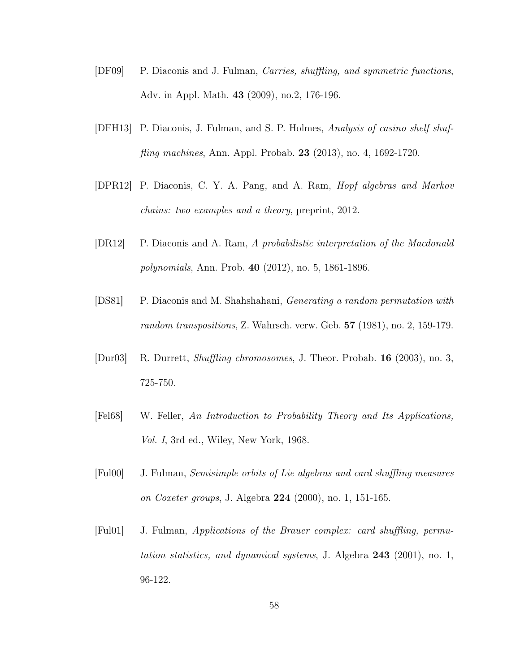- [DF09] P. Diaconis and J. Fulman, Carries, shuffling, and symmetric functions, Adv. in Appl. Math. 43 (2009), no.2, 176-196.
- [DFH13] P. Diaconis, J. Fulman, and S. P. Holmes, Analysis of casino shelf shuffling machines, Ann. Appl. Probab. 23 (2013), no. 4, 1692-1720.
- [DPR12] P. Diaconis, C. Y. A. Pang, and A. Ram, Hopf algebras and Markov chains: two examples and a theory, preprint, 2012.
- [DR12] P. Diaconis and A. Ram, A probabilistic interpretation of the Macdonald polynomials, Ann. Prob. 40 (2012), no. 5, 1861-1896.
- <span id="page-66-1"></span>[DS81] P. Diaconis and M. Shahshahani, Generating a random permutation with random transpositions, Z. Wahrsch. verw. Geb. 57 (1981), no. 2, 159-179.
- [Dur03] R. Durrett, Shuffling chromosomes, J. Theor. Probab. 16 (2003), no. 3, 725-750.
- <span id="page-66-0"></span>[Fel68] W. Feller, An Introduction to Probability Theory and Its Applications, Vol. I, 3rd ed., Wiley, New York, 1968.
- [Ful00] J. Fulman, Semisimple orbits of Lie algebras and card shuffling measures on Coxeter groups, J. Algebra 224 (2000), no. 1, 151-165.
- [Ful01] J. Fulman, Applications of the Brauer complex: card shuffling, permutation statistics, and dynamical systems, J. Algebra 243 (2001), no. 1, 96-122.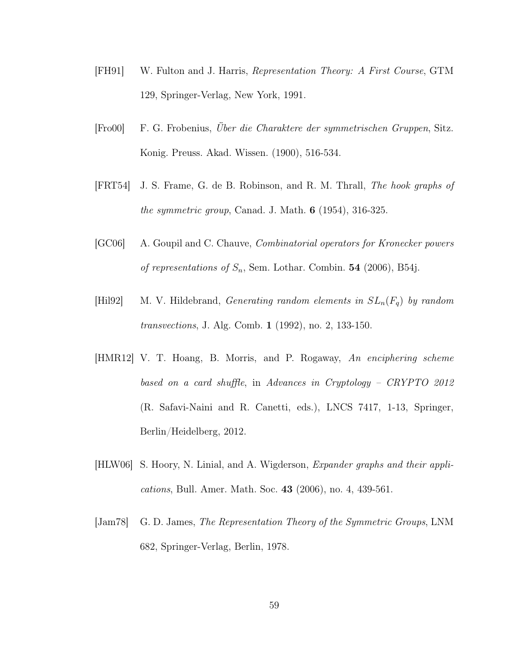- [FH91] W. Fulton and J. Harris, Representation Theory: A First Course, GTM 129, Springer-Verlag, New York, 1991.
- <span id="page-67-0"></span>[Fro00] F. G. Frobenius, Über die Charaktere der symmetrischen Gruppen, Sitz. Konig. Preuss. Akad. Wissen. (1900), 516-534.
- [FRT54] J. S. Frame, G. de B. Robinson, and R. M. Thrall, The hook graphs of the symmetric group, Canad. J. Math.  $6$  (1954), 316-325.
- <span id="page-67-1"></span>[GC06] A. Goupil and C. Chauve, Combinatorial operators for Kronecker powers of representations of  $S_n$ , Sem. Lothar. Combin. **54** (2006), B54j.
- [Hil92] M. V. Hildebrand, *Generating random elements in*  $SL_n(F_q)$  by random transvections, J. Alg. Comb. 1 (1992), no. 2, 133-150.
- [HMR12] V. T. Hoang, B. Morris, and P. Rogaway, An enciphering scheme based on a card shuffle, in Advances in Cryptology – CRYPTO 2012 (R. Safavi-Naini and R. Canetti, eds.), LNCS 7417, 1-13, Springer, Berlin/Heidelberg, 2012.
- [HLW06] S. Hoory, N. Linial, and A. Wigderson, Expander graphs and their applications, Bull. Amer. Math. Soc. 43 (2006), no. 4, 439-561.
- [Jam78] G. D. James, The Representation Theory of the Symmetric Groups, LNM 682, Springer-Verlag, Berlin, 1978.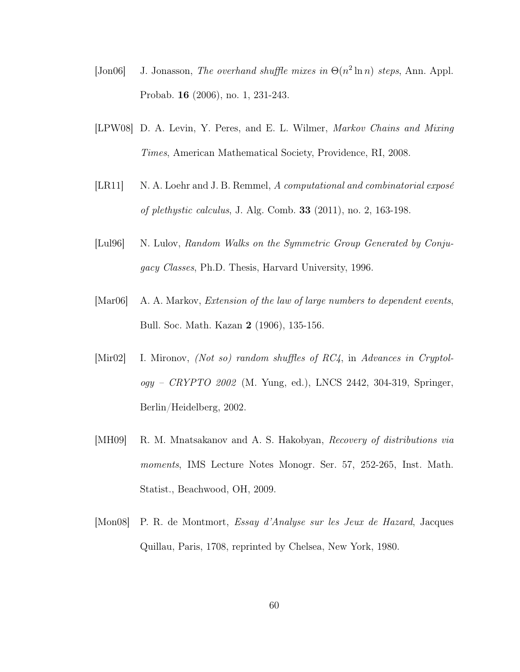- [Jon06] J. Jonasson, The overhand shuffle mixes in  $\Theta(n^2 \ln n)$  steps, Ann. Appl. Probab. 16 (2006), no. 1, 231-243.
- <span id="page-68-1"></span>[LPW08] D. A. Levin, Y. Peres, and E. L. Wilmer, Markov Chains and Mixing Times, American Mathematical Society, Providence, RI, 2008.
- <span id="page-68-3"></span>[LR11] N. A. Loehr and J. B. Remmel, A computational and combinatorial expose of plethystic calculus, J. Alg. Comb. 33 (2011), no. 2, 163-198.
- [Lul96] N. Lulov, Random Walks on the Symmetric Group Generated by Conjugacy Classes, Ph.D. Thesis, Harvard University, 1996.
- [Mar06] A. A. Markov, Extension of the law of large numbers to dependent events, Bull. Soc. Math. Kazan 2 (1906), 135-156.
- [Mir02] I. Mironov, (Not so) random shuffles of RC4, in Advances in Cryptol $oqy - CRYPTO 2002$  (M. Yung, ed.), LNCS 2442, 304-319, Springer, Berlin/Heidelberg, 2002.
- <span id="page-68-2"></span>[MH09] R. M. Mnatsakanov and A. S. Hakobyan, Recovery of distributions via moments, IMS Lecture Notes Monogr. Ser. 57, 252-265, Inst. Math. Statist., Beachwood, OH, 2009.
- <span id="page-68-0"></span>[Mon08] P. R. de Montmort, Essay d'Analyse sur les Jeux de Hazard, Jacques Quillau, Paris, 1708, reprinted by Chelsea, New York, 1980.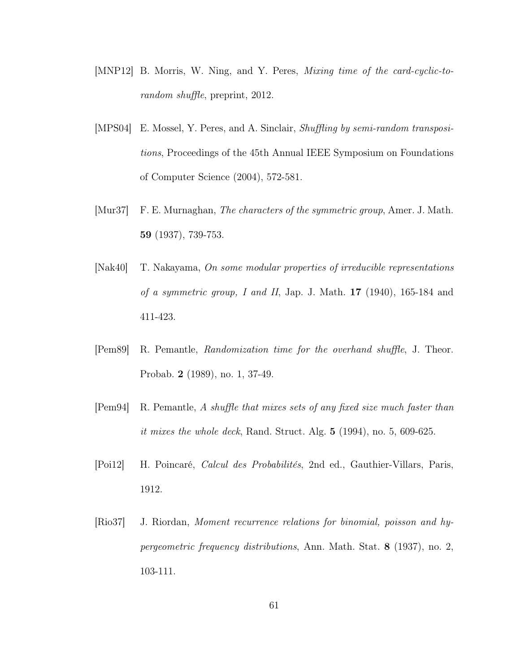- [MNP12] B. Morris, W. Ning, and Y. Peres, Mixing time of the card-cyclic-torandom shuffle, preprint, 2012.
- [MPS04] E. Mossel, Y. Peres, and A. Sinclair, Shuffling by semi-random transpositions, Proceedings of the 45th Annual IEEE Symposium on Foundations of Computer Science (2004), 572-581.
- [Mur37] F. E. Murnaghan, The characters of the symmetric group, Amer. J. Math. 59 (1937), 739-753.
- [Nak40] T. Nakayama, On some modular properties of irreducible representations of a symmetric group, I and II, Jap. J. Math.  $17$  (1940), 165-184 and 411-423.
- [Pem89] R. Pemantle, Randomization time for the overhand shuffle, J. Theor. Probab. 2 (1989), no. 1, 37-49.
- [Pem94] R. Pemantle, A shuffle that mixes sets of any fixed size much faster than *it mixes the whole deck*, Rand. Struct. Alg.  $5(1994)$ , no.  $5(609-625)$ .
- [Poi12] H. Poincaré, Calcul des Probabilités, 2nd ed., Gauthier-Villars, Paris, 1912.
- <span id="page-69-0"></span>[Rio37] J. Riordan, Moment recurrence relations for binomial, poisson and hypergeometric frequency distributions, Ann. Math. Stat. 8 (1937), no. 2, 103-111.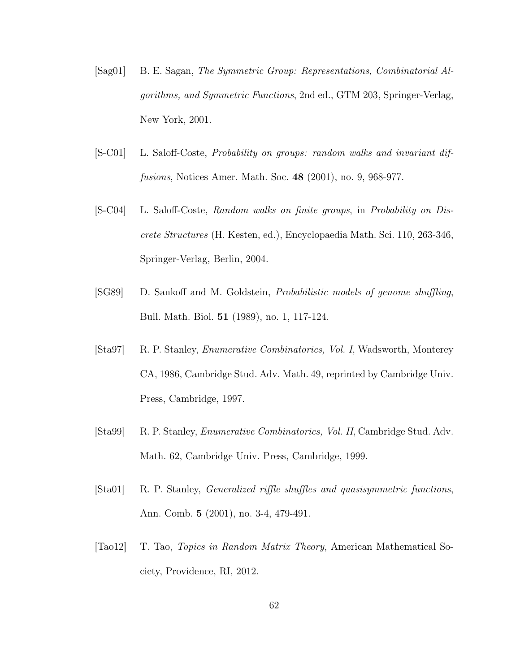- <span id="page-70-0"></span>[Sag01] B. E. Sagan, The Symmetric Group: Representations, Combinatorial Algorithms, and Symmetric Functions, 2nd ed., GTM 203, Springer-Verlag, New York, 2001.
- [S-C01] L. Saloff-Coste, Probability on groups: random walks and invariant diffusions, Notices Amer. Math. Soc. 48 (2001), no. 9, 968-977.
- [S-C04] L. Saloff-Coste, Random walks on finite groups, in Probability on Discrete Structures (H. Kesten, ed.), Encyclopaedia Math. Sci. 110, 263-346, Springer-Verlag, Berlin, 2004.
- [SG89] D. Sankoff and M. Goldstein, Probabilistic models of genome shuffling, Bull. Math. Biol. 51 (1989), no. 1, 117-124.
- <span id="page-70-1"></span>[Sta97] R. P. Stanley, *Enumerative Combinatorics, Vol. I*, Wadsworth, Monterey CA, 1986, Cambridge Stud. Adv. Math. 49, reprinted by Cambridge Univ. Press, Cambridge, 1997.
- <span id="page-70-2"></span>[Sta99] R. P. Stanley, Enumerative Combinatorics, Vol. II, Cambridge Stud. Adv. Math. 62, Cambridge Univ. Press, Cambridge, 1999.
- [Sta01] R. P. Stanley, Generalized riffle shuffles and quasisymmetric functions, Ann. Comb. 5 (2001), no. 3-4, 479-491.
- [Tao12] T. Tao, Topics in Random Matrix Theory, American Mathematical Society, Providence, RI, 2012.